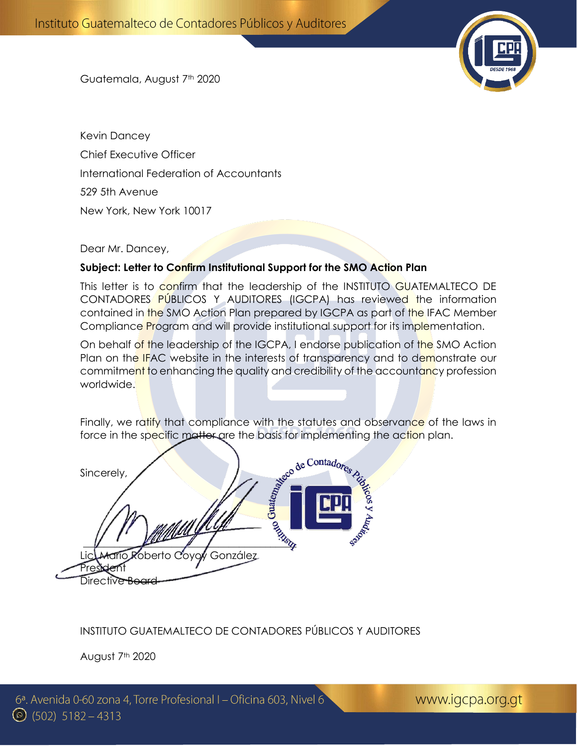

Guatemala, August 7<sup>th</sup> 2020

Kevin Dancey Chief Executive Officer International Federation of Accountants 529 5th Avenue New York, New York 10017

Dear Mr. Dancey,

#### **Subject: Letter to Confirm Institutional Support for the SMO Action Plan**

This letter is to confirm that the leadership of the INSTITUTO GUATEMALTECO DE CONTADORES PÚBLICOS Y AUDITORES (IGCPA) has reviewed the information contained in the SMO Action Plan prepared by IGCPA as part of the IFAC Member Compliance Program and will provide institutional support for its implementation.

On behalf of the leadership of the IGCPA, I endorse publication of the SMO Action Plan on the IFAC website in the interests of transparency and to demonstrate our commitment to enhancing the quality and credibility of the accountancy profession worldwide.

Finally, we ratify that compliance with the statutes and observance of the laws in

force in the specific matter are the basis for implementing the action plan.<br>Sincerely, Sincerely, \_\_\_\_\_\_\_\_\_\_\_\_\_\_\_\_\_\_\_\_\_\_\_\_\_\_\_\_\_\_\_\_\_\_\_\_\_\_\_\_\_ Lic. Mario Roberto Coyoy González Pres**ident** Directive Board

### INSTITUTO GUATEMALTECO DE CONTADORES PÚBLICOS Y AUDITORES

August 7<sup>th</sup> 2020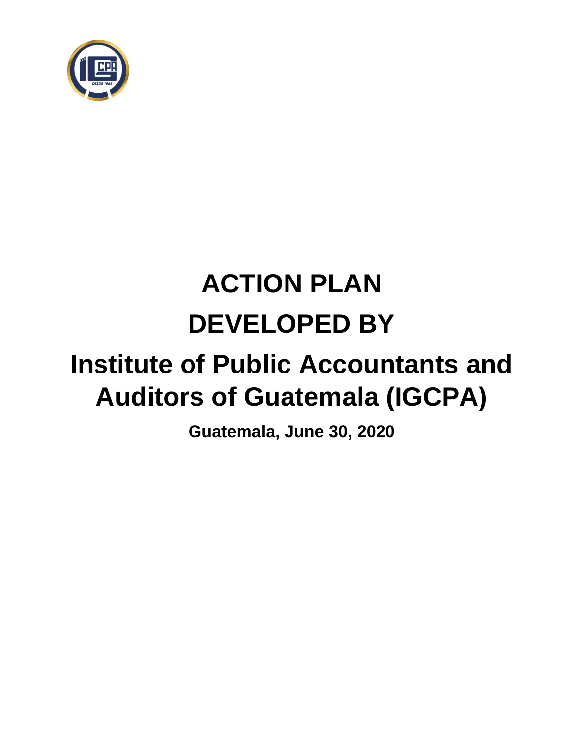

# **ACTION PLAN DEVELOPED BY**

## **Institute of Public Accountants and Auditors of Guatemala (IGCPA)**

**Guatemala, June 30, 2020**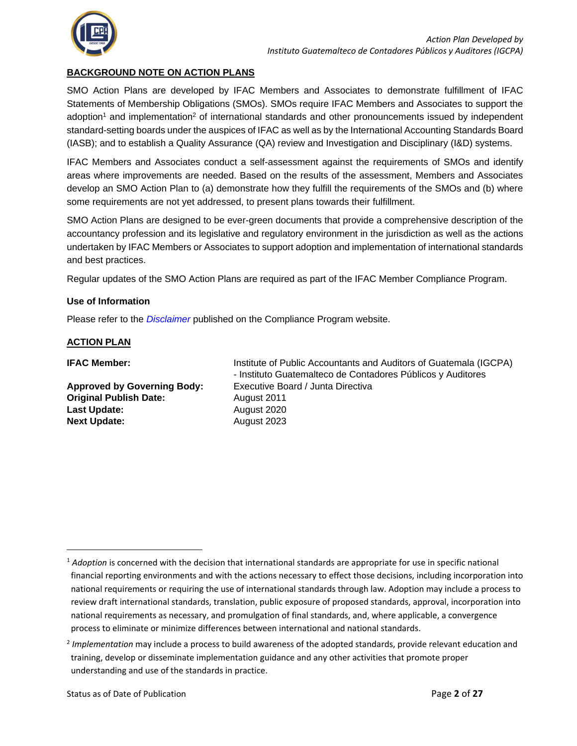

#### **BACKGROUND NOTE ON ACTION PLANS**

SMO Action Plans are developed by IFAC Members and Associates to demonstrate fulfillment of IFAC Statements of Membership Obligations (SMOs). SMOs require IFAC Members and Associates to support the adoption<sup>1</sup> and implementation<sup>2</sup> of international standards and other pronouncements issued by independent standard-setting boards under the auspices of IFAC as well as by the International Accounting Standards Board (IASB); and to establish a Quality Assurance (QA) review and Investigation and Disciplinary (I&D) systems.

IFAC Members and Associates conduct a self-assessment against the requirements of SMOs and identify areas where improvements are needed. Based on the results of the assessment, Members and Associates develop an SMO Action Plan to (a) demonstrate how they fulfill the requirements of the SMOs and (b) where some requirements are not yet addressed, to present plans towards their fulfillment.

SMO Action Plans are designed to be ever-green documents that provide a comprehensive description of the accountancy profession and its legislative and regulatory environment in the jurisdiction as well as the actions undertaken by IFAC Members or Associates to support adoption and implementation of international standards and best practices.

Regular updates of the SMO Action Plans are required as part of the IFAC Member Compliance Program.

#### **Use of Information**

Please refer to the *[Disclaimer](http://www.ifac.org/about-ifac/membership/members/disclaimer)* published on the Compliance Program website.

#### **ACTION PLAN**

| <b>IFAC Member:</b>                | Institute of Public Accountants and Auditors of Guatemala (IGCPA) |
|------------------------------------|-------------------------------------------------------------------|
|                                    | - Instituto Guatemalteco de Contadores Públicos y Auditores       |
| <b>Approved by Governing Body:</b> | Executive Board / Junta Directiva                                 |
| <b>Original Publish Date:</b>      | August 2011                                                       |
| Last Update:                       | August 2020                                                       |
| <b>Next Update:</b>                | August 2023                                                       |
|                                    |                                                                   |
|                                    |                                                                   |

<sup>1</sup> *Adoption* is concerned with the decision that international standards are appropriate for use in specific national financial reporting environments and with the actions necessary to effect those decisions, including incorporation into national requirements or requiring the use of international standards through law. Adoption may include a process to review draft international standards, translation, public exposure of proposed standards, approval, incorporation into national requirements as necessary, and promulgation of final standards, and, where applicable, a convergence process to eliminate or minimize differences between international and national standards.

<sup>2</sup> *Implementation* may include a process to build awareness of the adopted standards, provide relevant education and training, develop or disseminate implementation guidance and any other activities that promote proper understanding and use of the standards in practice.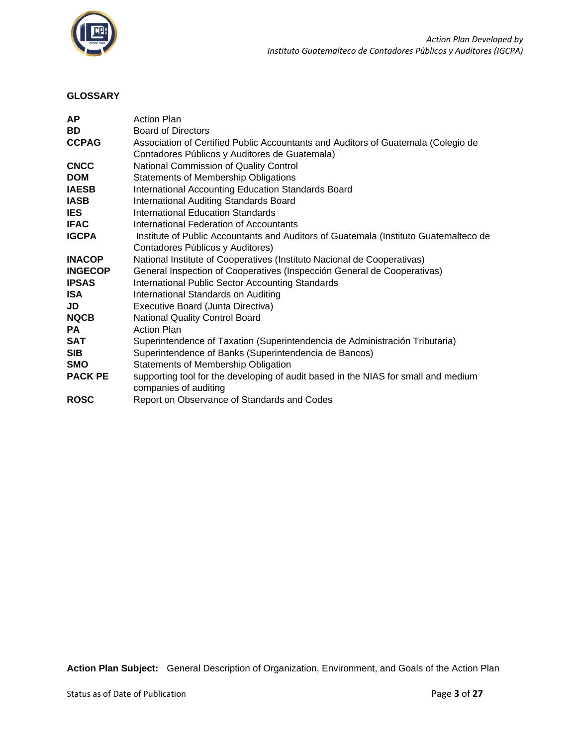

#### **GLOSSARY**

| <b>AP</b>      | <b>Action Plan</b>                                                                   |
|----------------|--------------------------------------------------------------------------------------|
| BD             | <b>Board of Directors</b>                                                            |
| <b>CCPAG</b>   | Association of Certified Public Accountants and Auditors of Guatemala (Colegio de    |
|                | Contadores Públicos y Auditores de Guatemala)                                        |
| <b>CNCC</b>    | National Commission of Quality Control                                               |
| <b>DOM</b>     | <b>Statements of Membership Obligations</b>                                          |
| <b>IAESB</b>   | International Accounting Education Standards Board                                   |
| <b>IASB</b>    | International Auditing Standards Board                                               |
| <b>IES</b>     | International Education Standards                                                    |
| <b>IFAC</b>    | International Federation of Accountants                                              |
| <b>IGCPA</b>   | Institute of Public Accountants and Auditors of Guatemala (Instituto Guatemalteco de |
|                | Contadores Públicos y Auditores)                                                     |
| <b>INACOP</b>  | National Institute of Cooperatives (Instituto Nacional de Cooperativas)              |
| <b>INGECOP</b> | General Inspection of Cooperatives (Inspección General de Cooperativas)              |
| <b>IPSAS</b>   | International Public Sector Accounting Standards                                     |
| <b>ISA</b>     | International Standards on Auditing                                                  |
| JD             | Executive Board (Junta Directiva)                                                    |
| <b>NQCB</b>    | National Quality Control Board                                                       |
| PA             | <b>Action Plan</b>                                                                   |
| <b>SAT</b>     | Superintendence of Taxation (Superintendencia de Administración Tributaria)          |
| <b>SIB</b>     | Superintendence of Banks (Superintendencia de Bancos)                                |
| <b>SMO</b>     | Statements of Membership Obligation                                                  |
| <b>PACK PE</b> | supporting tool for the developing of audit based in the NIAS for small and medium   |
|                | companies of auditing                                                                |
| <b>ROSC</b>    | Report on Observance of Standards and Codes                                          |

**Action Plan Subject:** General Description of Organization, Environment, and Goals of the Action Plan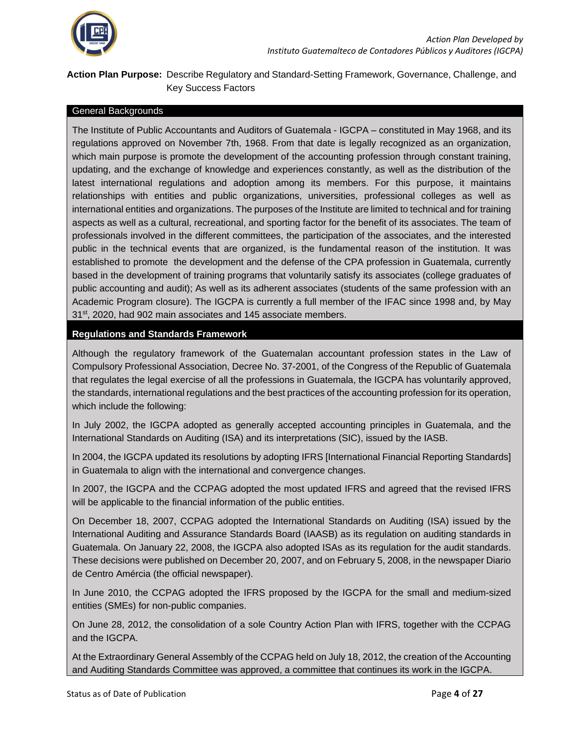

#### **Action Plan Purpose:** Describe Regulatory and Standard-Setting Framework, Governance, Challenge, and Key Success Factors

#### General Backgrounds

The Institute of Public Accountants and Auditors of Guatemala - IGCPA – constituted in May 1968, and its regulations approved on November 7th, 1968. From that date is legally recognized as an organization, which main purpose is promote the development of the accounting profession through constant training, updating, and the exchange of knowledge and experiences constantly, as well as the distribution of the latest international regulations and adoption among its members. For this purpose, it maintains relationships with entities and public organizations, universities, professional colleges as well as international entities and organizations. The purposes of the Institute are limited to technical and for training aspects as well as a cultural, recreational, and sporting factor for the benefit of its associates. The team of professionals involved in the different committees, the participation of the associates, and the interested public in the technical events that are organized, is the fundamental reason of the institution. It was established to promote the development and the defense of the CPA profession in Guatemala, currently based in the development of training programs that voluntarily satisfy its associates (college graduates of public accounting and audit); As well as its adherent associates (students of the same profession with an Academic Program closure). The IGCPA is currently a full member of the IFAC since 1998 and, by May 31<sup>st</sup>, 2020, had 902 main associates and 145 associate members.

#### **Regulations and Standards Framework**

Although the regulatory framework of the Guatemalan accountant profession states in the Law of Compulsory Professional Association, Decree No. 37-2001, of the Congress of the Republic of Guatemala that regulates the legal exercise of all the professions in Guatemala, the IGCPA has voluntarily approved, the standards, international regulations and the best practices of the accounting profession for its operation, which include the following:

• In July 2002, the IGCPA adopted as generally accepted accounting principles in Guatemala, and the International Standards on Auditing (ISA) and its interpretations (SIC), issued by the IASB.

• In 2004, the IGCPA updated its resolutions by adopting IFRS [International Financial Reporting Standards] in Guatemala to align with the international and convergence changes.

• In 2007, the IGCPA and the CCPAG adopted the most updated IFRS and agreed that the revised IFRS will be applicable to the financial information of the public entities.

• On December 18, 2007, CCPAG adopted the International Standards on Auditing (ISA) issued by the International Auditing and Assurance Standards Board (IAASB) as its regulation on auditing standards in Guatemala. On January 22, 2008, the IGCPA also adopted ISAs as its regulation for the audit standards. These decisions were published on December 20, 2007, and on February 5, 2008, in the newspaper Diario de Centro Amércia (the official newspaper).

• In June 2010, the CCPAG adopted the IFRS proposed by the IGCPA for the small and medium-sized entities (SMEs) for non-public companies.

• On June 28, 2012, the consolidation of a sole Country Action Plan with IFRS, together with the CCPAG and the IGCPA.

• At the Extraordinary General Assembly of the CCPAG held on July 18, 2012, the creation of the Accounting and Auditing Standards Committee was approved, a committee that continues its work in the IGCPA.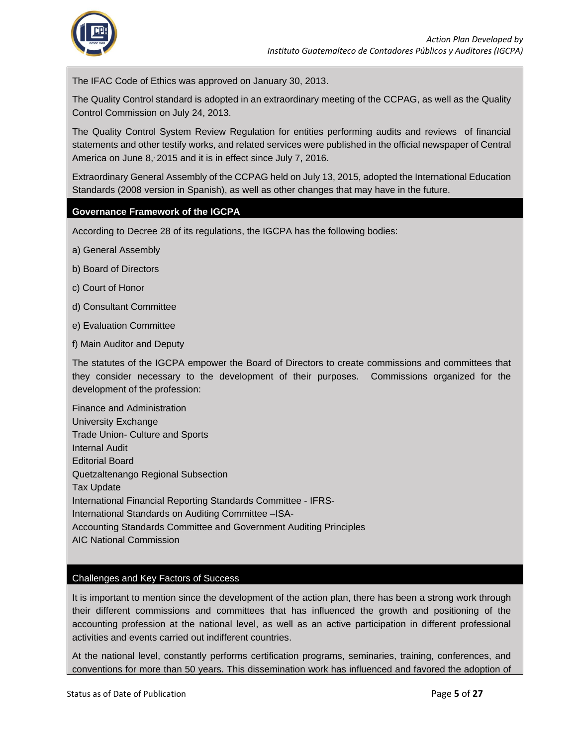

• The IFAC Code of Ethics was approved on January 30, 2013.

• The Quality Control standard is adopted in an extraordinary meeting of the CCPAG, as well as the Quality Control Commission on July 24, 2013.

• The Quality Control System Review Regulation for entities performing audits and reviews of financial statements and other testify works, and related services were published in the official newspaper of Central America on June 8, 2015 and it is in effect since July 7, 2016.

• Extraordinary General Assembly of the CCPAG held on July 13, 2015, adopted the International Education Standards (2008 version in Spanish), as well as other changes that may have in the future.

#### **Governance Framework of the IGCPA**

According to Decree 28 of its regulations, the IGCPA has the following bodies:

- a) General Assembly
- b) Board of Directors
- c) Court of Honor
- d) Consultant Committee
- e) Evaluation Committee
- f) Main Auditor and Deputy

The statutes of the IGCPA empower the Board of Directors to create commissions and committees that they consider necessary to the development of their purposes. Commissions organized for the development of the profession:

• Finance and Administration • University Exchange • Trade Union- Culture and Sports • Internal Audit • Editorial Board • Quetzaltenango Regional Subsection **Tax Update** • International Financial Reporting Standards Committee - IFRS- • International Standards on Auditing Committee –ISA- • Accounting Standards Committee and Government Auditing Principles • AIC National Commission

#### Challenges and Key Factors of Success

It is important to mention since the development of the action plan, there has been a strong work through their different commissions and committees that has influenced the growth and positioning of the accounting profession at the national level, as well as an active participation in different professional activities and events carried out indifferent countries.

At the national level, constantly performs certification programs, seminaries, training, conferences, and conventions for more than 50 years. This dissemination work has influenced and favored the adoption of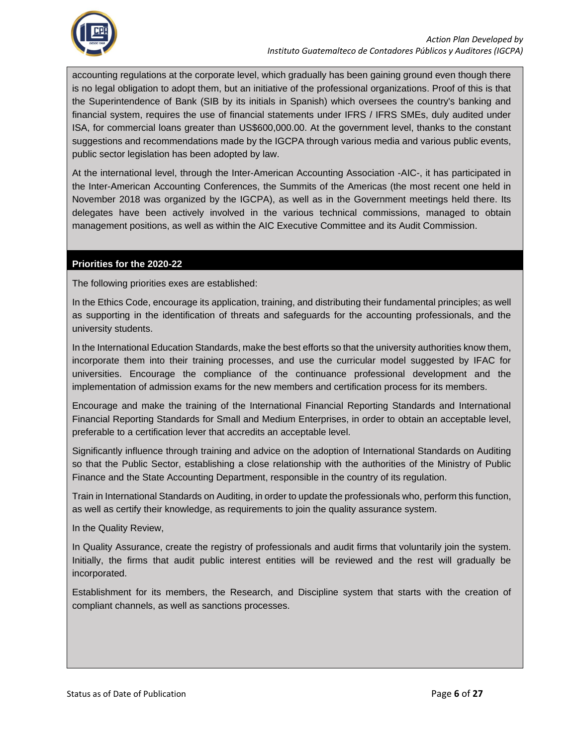

accounting regulations at the corporate level, which gradually has been gaining ground even though there is no legal obligation to adopt them, but an initiative of the professional organizations. Proof of this is that the Superintendence of Bank (SIB by its initials in Spanish) which oversees the country's banking and financial system, requires the use of financial statements under IFRS / IFRS SMEs, duly audited under ISA, for commercial loans greater than US\$600,000.00. At the government level, thanks to the constant suggestions and recommendations made by the IGCPA through various media and various public events, public sector legislation has been adopted by law.

At the international level, through the Inter-American Accounting Association -AIC-, it has participated in the Inter-American Accounting Conferences, the Summits of the Americas (the most recent one held in November 2018 was organized by the IGCPA), as well as in the Government meetings held there. Its delegates have been actively involved in the various technical commissions, managed to obtain management positions, as well as within the AIC Executive Committee and its Audit Commission.

#### **Priorities for the 2020-22**

The following priorities exes are established:

In the Ethics Code, encourage its application, training, and distributing their fundamental principles; as well as supporting in the identification of threats and safeguards for the accounting professionals, and the university students.

In the International Education Standards, make the best efforts so that the university authorities know them, incorporate them into their training processes, and use the curricular model suggested by IFAC for universities. Encourage the compliance of the continuance professional development and the implementation of admission exams for the new members and certification process for its members.

Encourage and make the training of the International Financial Reporting Standards and International Financial Reporting Standards for Small and Medium Enterprises, in order to obtain an acceptable level, preferable to a certification lever that accredits an acceptable level.

Significantly influence through training and advice on the adoption of International Standards on Auditing so that the Public Sector, establishing a close relationship with the authorities of the Ministry of Public Finance and the State Accounting Department, responsible in the country of its regulation.

Train in International Standards on Auditing, in order to update the professionals who, perform this function, as well as certify their knowledge, as requirements to join the quality assurance system.

In the Quality Review,

In Quality Assurance, create the registry of professionals and audit firms that voluntarily join the system. Initially, the firms that audit public interest entities will be reviewed and the rest will gradually be incorporated.

Establishment for its members, the Research, and Discipline system that starts with the creation of compliant channels, as well as sanctions processes.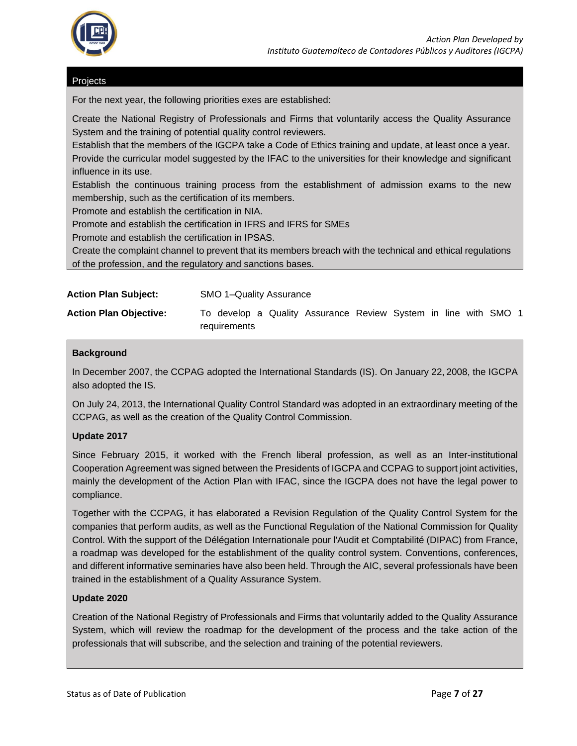

#### **Projects**

For the next year, the following priorities exes are established:

• Create the National Registry of Professionals and Firms that voluntarily access the Quality Assurance System and the training of potential quality control reviewers.

• Establish that the members of the IGCPA take a Code of Ethics training and update, at least once a year. • Provide the curricular model suggested by the IFAC to the universities for their knowledge and significant influence in its use.

• Establish the continuous training process from the establishment of admission exams to the new membership, such as the certification of its members.

• Promote and establish the certification in NIA.

• Promote and establish the certification in IFRS and IFRS for SMEs

• Promote and establish the certification in IPSAS.

• Create the complaint channel to prevent that its members breach with the technical and ethical regulations of the profession, and the regulatory and sanctions bases.

| <b>Action Plan Subject:</b> | <b>SMO 1-Quality Assurance</b> |
|-----------------------------|--------------------------------|
|-----------------------------|--------------------------------|

**Action Plan Objective:** To develop a Quality Assurance Review System in line with SMO 1 requirements

#### **Background**

In December 2007, the CCPAG adopted the International Standards (IS). On January 22, 2008, the IGCPA also adopted the IS.

On July 24, 2013, the International Quality Control Standard was adopted in an extraordinary meeting of the CCPAG, as well as the creation of the Quality Control Commission.

#### **Update 2017**

Since February 2015, it worked with the French liberal profession, as well as an Inter-institutional Cooperation Agreement was signed between the Presidents of IGCPA and CCPAG to support joint activities, mainly the development of the Action Plan with IFAC, since the IGCPA does not have the legal power to compliance.

Together with the CCPAG, it has elaborated a Revision Regulation of the Quality Control System for the companies that perform audits, as well as the Functional Regulation of the National Commission for Quality Control. With the support of the Délégation Internationale pour l'Audit et Comptabilité (DIPAC) from France, a roadmap was developed for the establishment of the quality control system. Conventions, conferences, and different informative seminaries have also been held. Through the AIC, several professionals have been trained in the establishment of a Quality Assurance System.

#### **Update 2020**

Creation of the National Registry of Professionals and Firms that voluntarily added to the Quality Assurance System, which will review the roadmap for the development of the process and the take action of the professionals that will subscribe, and the selection and training of the potential reviewers.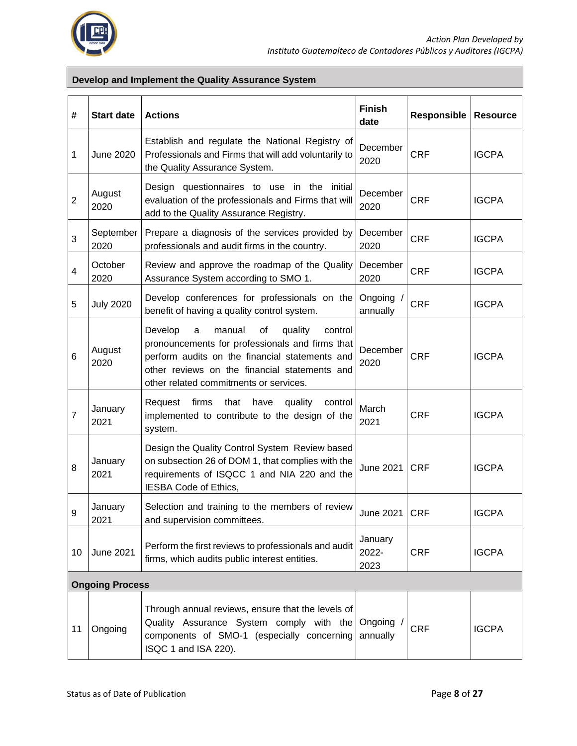

#### **Develop and Implement the Quality Assurance System**

| #              | <b>Start date</b>      | <b>Actions</b>                                                                                                                                                                                                                                     | <b>Finish</b><br>date    | <b>Responsible</b> | <b>Resource</b> |
|----------------|------------------------|----------------------------------------------------------------------------------------------------------------------------------------------------------------------------------------------------------------------------------------------------|--------------------------|--------------------|-----------------|
| 1              | <b>June 2020</b>       | Establish and regulate the National Registry of<br>Professionals and Firms that will add voluntarily to<br>the Quality Assurance System.                                                                                                           | December<br>2020         | <b>CRF</b>         | <b>IGCPA</b>    |
| $\overline{2}$ | August<br>2020         | Design questionnaires to use in the initial<br>evaluation of the professionals and Firms that will<br>add to the Quality Assurance Registry.                                                                                                       | December<br>2020         | <b>CRF</b>         | <b>IGCPA</b>    |
| 3              | September<br>2020      | Prepare a diagnosis of the services provided by<br>professionals and audit firms in the country.                                                                                                                                                   | December<br>2020         | <b>CRF</b>         | <b>IGCPA</b>    |
| 4              | October<br>2020        | Review and approve the roadmap of the Quality<br>Assurance System according to SMO 1.                                                                                                                                                              | December<br>2020         | <b>CRF</b>         | <b>IGCPA</b>    |
| 5              | <b>July 2020</b>       | Develop conferences for professionals on the<br>benefit of having a quality control system.                                                                                                                                                        | Ongoing<br>annually      | <b>CRF</b>         | <b>IGCPA</b>    |
| 6              | August<br>2020         | manual<br>Develop<br>οf<br>quality<br>control<br>a<br>pronouncements for professionals and firms that<br>perform audits on the financial statements and<br>other reviews on the financial statements and<br>other related commitments or services. | December<br>2020         | <b>CRF</b>         | <b>IGCPA</b>    |
| 7              | January<br>2021        | firms<br>that<br>have<br>quality<br>control<br>Request<br>implemented to contribute to the design of the<br>system.                                                                                                                                | March<br>2021            | <b>CRF</b>         | <b>IGCPA</b>    |
| 8              | January<br>2021        | Design the Quality Control System Review based<br>on subsection 26 of DOM 1, that complies with the<br>requirements of ISQCC 1 and NIA 220 and the<br>IESBA Code of Ethics,                                                                        | <b>June 2021</b>         | <b>CRF</b>         | <b>IGCPA</b>    |
| 9              | January<br>2021        | Selection and training to the members of review<br>and supervision committees.                                                                                                                                                                     | June 2021   CRF          |                    | <b>IGCPA</b>    |
| 10             | <b>June 2021</b>       | Perform the first reviews to professionals and audit<br>firms, which audits public interest entities.                                                                                                                                              | January<br>2022-<br>2023 | <b>CRF</b>         | <b>IGCPA</b>    |
|                | <b>Ongoing Process</b> |                                                                                                                                                                                                                                                    |                          |                    |                 |
| 11             | Ongoing                | Through annual reviews, ensure that the levels of<br>Quality Assurance System comply with the<br>components of SMO-1 (especially concerning<br>ISQC 1 and ISA 220).                                                                                | Ongoing<br>annually      | <b>CRF</b>         | <b>IGCPA</b>    |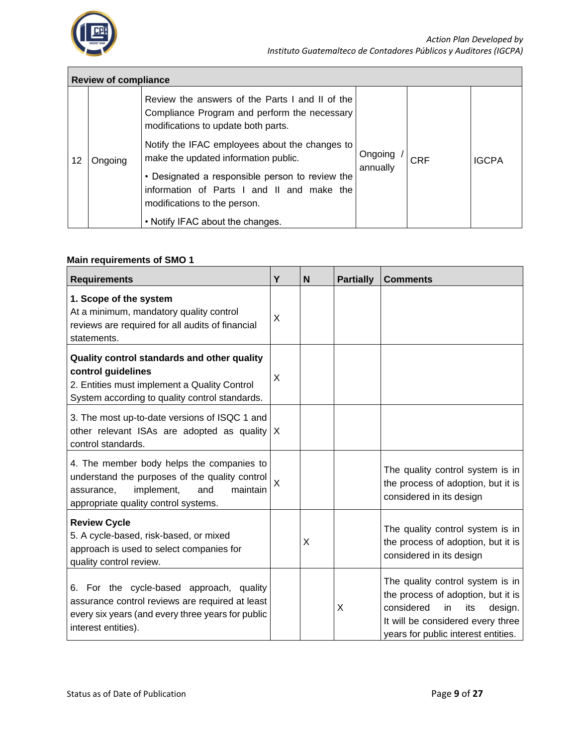

|    | <b>Review of compliance</b> |                                                                                                                                        |                            |  |              |  |  |
|----|-----------------------------|----------------------------------------------------------------------------------------------------------------------------------------|----------------------------|--|--------------|--|--|
|    |                             | Review the answers of the Parts I and II of the<br>Compliance Program and perform the necessary<br>modifications to update both parts. |                            |  |              |  |  |
| 12 | Ongoing                     | Notify the IFAC employees about the changes to<br>make the updated information public.                                                 | Ongoing<br>CRF<br>annually |  | <b>IGCPA</b> |  |  |
|    |                             | • Designated a responsible person to review the<br>information of Parts I and II and make the<br>modifications to the person.          |                            |  |              |  |  |
|    |                             | • Notify IFAC about the changes.                                                                                                       |                            |  |              |  |  |

#### **Main requirements of SMO 1**

| <b>Requirements</b>                                                                                                                                                                | Y        | N | <b>Partially</b> | <b>Comments</b>                                                                                                                                                                          |
|------------------------------------------------------------------------------------------------------------------------------------------------------------------------------------|----------|---|------------------|------------------------------------------------------------------------------------------------------------------------------------------------------------------------------------------|
| 1. Scope of the system<br>At a minimum, mandatory quality control<br>reviews are required for all audits of financial<br>statements.                                               | X        |   |                  |                                                                                                                                                                                          |
| Quality control standards and other quality<br>control guidelines<br>2. Entities must implement a Quality Control<br>System according to quality control standards.                | X        |   |                  |                                                                                                                                                                                          |
| 3. The most up-to-date versions of ISQC 1 and<br>other relevant ISAs are adopted as quality $ X $<br>control standards.                                                            |          |   |                  |                                                                                                                                                                                          |
| 4. The member body helps the companies to<br>understand the purposes of the quality control<br>implement,<br>maintain<br>and<br>assurance,<br>appropriate quality control systems. | $\times$ |   |                  | The quality control system is in<br>the process of adoption, but it is<br>considered in its design                                                                                       |
| <b>Review Cycle</b><br>5. A cycle-based, risk-based, or mixed<br>approach is used to select companies for<br>quality control review.                                               |          | X |                  | The quality control system is in<br>the process of adoption, but it is<br>considered in its design                                                                                       |
| 6. For the cycle-based approach, quality<br>assurance control reviews are required at least<br>every six years (and every three years for public<br>interest entities).            |          |   | X                | The quality control system is in<br>the process of adoption, but it is<br>considered<br>design.<br>in<br>its<br>It will be considered every three<br>years for public interest entities. |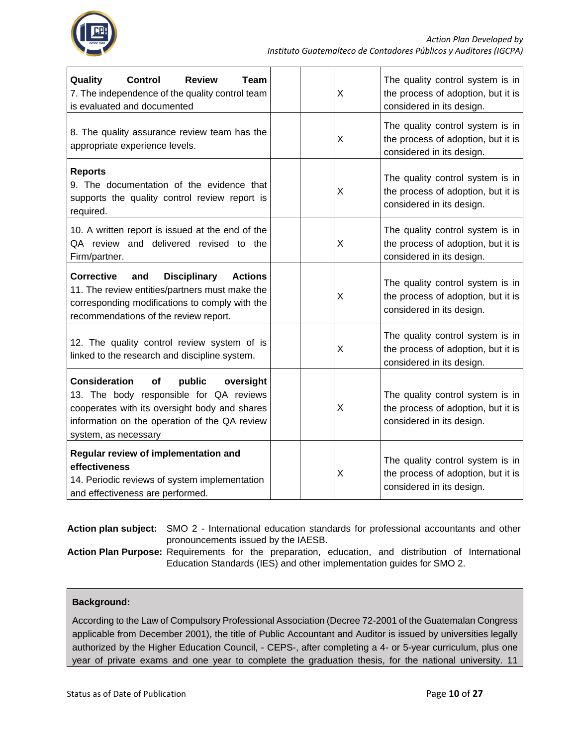

| Quality<br><b>Control</b><br><b>Review</b><br><b>Team</b><br>7. The independence of the quality control team<br>is evaluated and documented                                                                            | X | The quality control system is in<br>the process of adoption, but it is<br>considered in its design. |
|------------------------------------------------------------------------------------------------------------------------------------------------------------------------------------------------------------------------|---|-----------------------------------------------------------------------------------------------------|
| 8. The quality assurance review team has the<br>appropriate experience levels.                                                                                                                                         | X | The quality control system is in<br>the process of adoption, but it is<br>considered in its design. |
| <b>Reports</b><br>9. The documentation of the evidence that<br>supports the quality control review report is<br>required.                                                                                              | X | The quality control system is in<br>the process of adoption, but it is<br>considered in its design. |
| 10. A written report is issued at the end of the<br>QA review and delivered revised to the<br>Firm/partner.                                                                                                            | X | The quality control system is in<br>the process of adoption, but it is<br>considered in its design. |
| <b>Corrective</b><br><b>Disciplinary</b><br><b>Actions</b><br>and<br>11. The review entities/partners must make the<br>corresponding modifications to comply with the<br>recommendations of the review report.         | X | The quality control system is in<br>the process of adoption, but it is<br>considered in its design. |
| 12. The quality control review system of is<br>linked to the research and discipline system.                                                                                                                           | X | The quality control system is in<br>the process of adoption, but it is<br>considered in its design. |
| <b>Consideration</b><br>of<br>public<br>oversight<br>13. The body responsible for QA reviews<br>cooperates with its oversight body and shares<br>information on the operation of the QA review<br>system, as necessary | X | The quality control system is in<br>the process of adoption, but it is<br>considered in its design. |
| Regular review of implementation and<br>effectiveness<br>14. Periodic reviews of system implementation<br>and effectiveness are performed.                                                                             | X | The quality control system is in<br>the process of adoption, but it is<br>considered in its design. |

| Action plan subject: SMO 2 - International education standards for professional accountants and other |
|-------------------------------------------------------------------------------------------------------|
| pronouncements issued by the IAESB.                                                                   |

**Action Plan Purpose:** Requirements for the preparation, education, and distribution of International Education Standards (IES) and other implementation guides for SMO 2.

#### **Background:**

According to the Law of Compulsory Professional Association (Decree 72-2001 of the Guatemalan Congress applicable from December 2001), the title of Public Accountant and Auditor is issued by universities legally authorized by the Higher Education Council, - CEPS-, after completing a 4- or 5-year curriculum, plus one year of private exams and one year to complete the graduation thesis, for the national university. 11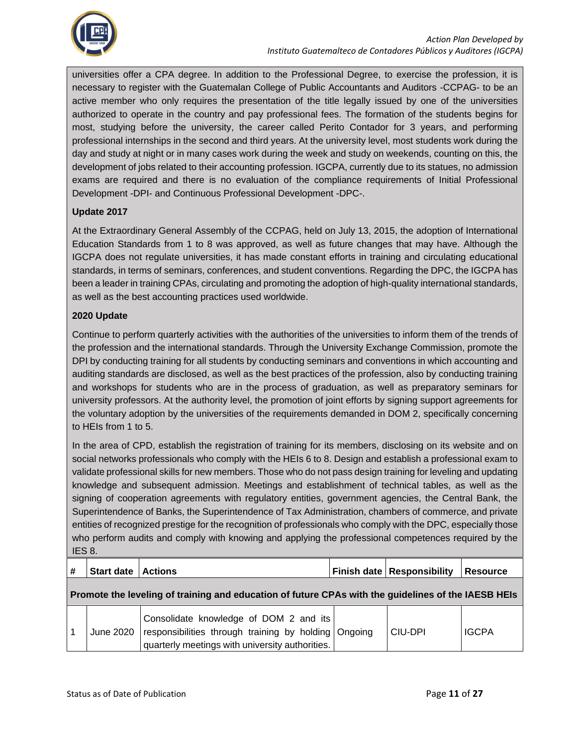

universities offer a CPA degree. In addition to the Professional Degree, to exercise the profession, it is necessary to register with the Guatemalan College of Public Accountants and Auditors -CCPAG- to be an active member who only requires the presentation of the title legally issued by one of the universities authorized to operate in the country and pay professional fees. The formation of the students begins for most, studying before the university, the career called Perito Contador for 3 years, and performing professional internships in the second and third years. At the university level, most students work during the day and study at night or in many cases work during the week and study on weekends, counting on this, the development of jobs related to their accounting profession. IGCPA, currently due to its statues, no admission exams are required and there is no evaluation of the compliance requirements of Initial Professional Development -DPI- and Continuous Professional Development -DPC-.

#### **Update 2017**

At the Extraordinary General Assembly of the CCPAG, held on July 13, 2015, the adoption of International Education Standards from 1 to 8 was approved, as well as future changes that may have. Although the IGCPA does not regulate universities, it has made constant efforts in training and circulating educational standards, in terms of seminars, conferences, and student conventions. Regarding the DPC, the IGCPA has been a leader in training CPAs, circulating and promoting the adoption of high-quality international standards, as well as the best accounting practices used worldwide.

#### **2020 Update**

Continue to perform quarterly activities with the authorities of the universities to inform them of the trends of the profession and the international standards. Through the University Exchange Commission, promote the DPI by conducting training for all students by conducting seminars and conventions in which accounting and auditing standards are disclosed, as well as the best practices of the profession, also by conducting training and workshops for students who are in the process of graduation, as well as preparatory seminars for university professors. At the authority level, the promotion of joint efforts by signing support agreements for the voluntary adoption by the universities of the requirements demanded in DOM 2, specifically concerning to HEIs from 1 to 5.

In the area of CPD, establish the registration of training for its members, disclosing on its website and on social networks professionals who comply with the HEIs 6 to 8. Design and establish a professional exam to validate professional skills for new members. Those who do not pass design training for leveling and updating knowledge and subsequent admission. Meetings and establishment of technical tables, as well as the signing of cooperation agreements with regulatory entities, government agencies, the Central Bank, the Superintendence of Banks, the Superintendence of Tax Administration, chambers of commerce, and private entities of recognized prestige for the recognition of professionals who comply with the DPC, especially those who perform audits and comply with knowing and applying the professional competences required by the IES 8.

| #                                                                                                   | <b>Start date</b> | <b>Actions</b>                                                                                                                                    |  | Finish date   Responsibility | <b>Resource</b> |  |
|-----------------------------------------------------------------------------------------------------|-------------------|---------------------------------------------------------------------------------------------------------------------------------------------------|--|------------------------------|-----------------|--|
| Promote the leveling of training and education of future CPAs with the guidelines of the IAESB HEIs |                   |                                                                                                                                                   |  |                              |                 |  |
|                                                                                                     | June 2020         | Consolidate knowledge of DOM 2 and its<br>responsibilities through training by holding Ongoing<br>quarterly meetings with university authorities. |  | CIU-DPI                      | <b>IGCPA</b>    |  |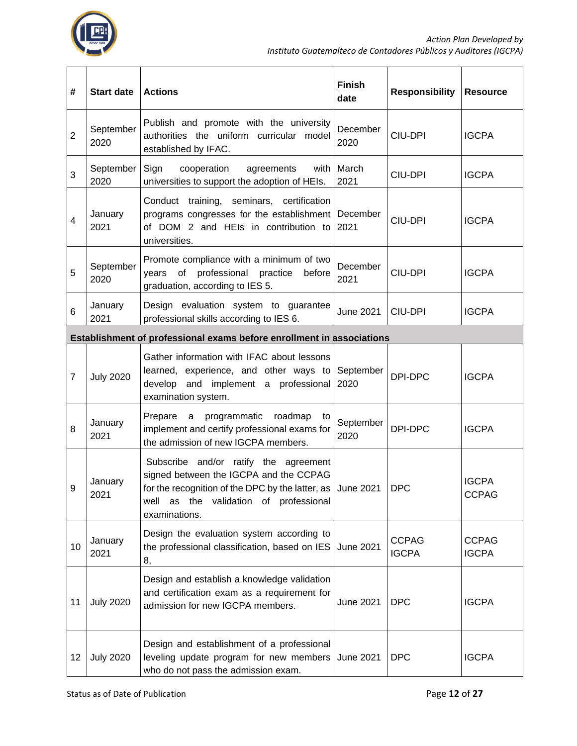

| #              | <b>Start date</b> | <b>Actions</b>                                                                                                                                                                                                               | <b>Finish</b><br>date | <b>Responsibility</b>        | <b>Resource</b>              |
|----------------|-------------------|------------------------------------------------------------------------------------------------------------------------------------------------------------------------------------------------------------------------------|-----------------------|------------------------------|------------------------------|
| $\overline{2}$ | September<br>2020 | Publish and promote with the university<br>authorities the uniform curricular model<br>established by IFAC.                                                                                                                  | December<br>2020      | CIU-DPI                      | <b>IGCPA</b>                 |
| 3              | September<br>2020 | Sign<br>cooperation<br>agreements<br>with<br>universities to support the adoption of HEIs.                                                                                                                                   | March<br>2021         | <b>CIU-DPI</b>               | <b>IGCPA</b>                 |
| 4              | January<br>2021   | Conduct training, seminars, certification<br>programs congresses for the establishment<br>of DOM 2 and HEIs in contribution to<br>universities.                                                                              | December<br>2021      | CIU-DPI                      | <b>IGCPA</b>                 |
| 5              | September<br>2020 | Promote compliance with a minimum of two<br>professional<br>of<br>practice<br>years<br>before<br>graduation, according to IES 5.                                                                                             | December<br>2021      | CIU-DPI                      | <b>IGCPA</b>                 |
| 6              | January<br>2021   | Design evaluation system to guarantee<br>professional skills according to IES 6.                                                                                                                                             | <b>June 2021</b>      | CIU-DPI                      | <b>IGCPA</b>                 |
|                |                   | Establishment of professional exams before enrollment in associations                                                                                                                                                        |                       |                              |                              |
| $\overline{7}$ | <b>July 2020</b>  | Gather information with IFAC about lessons<br>learned, experience, and other ways to September<br>develop and implement a professional<br>examination system.                                                                | 2020                  | DPI-DPC                      | <b>IGCPA</b>                 |
| 8              | January<br>2021   | Prepare a programmatic roadmap<br>to<br>implement and certify professional exams for<br>the admission of new IGCPA members.                                                                                                  | September<br>2020     | DPI-DPC                      | <b>IGCPA</b>                 |
| 9              | January<br>2021   | Subscribe and/or ratify the agreement<br>signed between the IGCPA and the CCPAG<br>for the recognition of the DPC by the latter, as $\vert$ June 2021 $\vert$ DPC<br>well as the validation of professional<br>examinations. |                       |                              | <b>IGCPA</b><br><b>CCPAG</b> |
| 10             | January<br>2021   | Design the evaluation system according to<br>the professional classification, based on IES June 2021<br>8,                                                                                                                   |                       | <b>CCPAG</b><br><b>IGCPA</b> | <b>CCPAG</b><br><b>IGCPA</b> |
| 11             | <b>July 2020</b>  | Design and establish a knowledge validation<br>and certification exam as a requirement for<br>admission for new IGCPA members.                                                                                               | <b>June 2021</b>      | <b>DPC</b>                   | <b>IGCPA</b>                 |
| $12 \,$        | <b>July 2020</b>  | Design and establishment of a professional<br>leveling update program for new members June 2021<br>who do not pass the admission exam.                                                                                       |                       | <b>DPC</b>                   | <b>IGCPA</b>                 |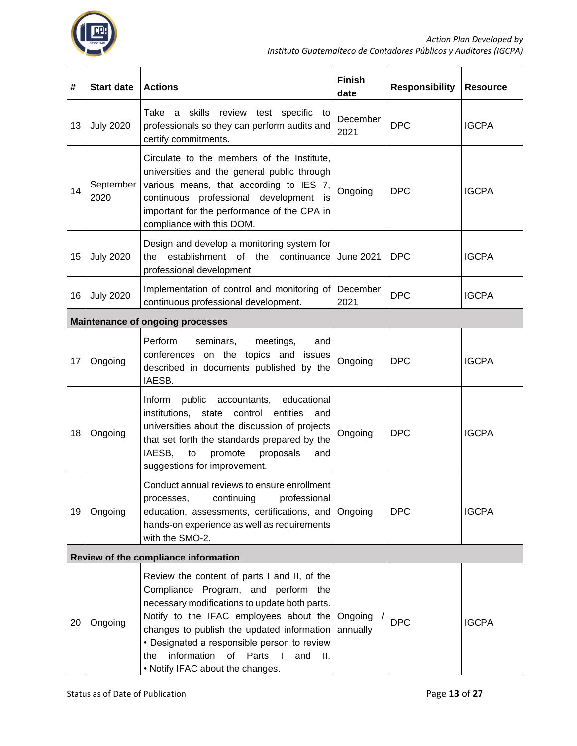

| #                                    | <b>Start date</b> | <b>Actions</b>                                                                                                                                                                                                                                                                                                                                                                              | <b>Finish</b><br>date | <b>Responsibility</b> | <b>Resource</b> |
|--------------------------------------|-------------------|---------------------------------------------------------------------------------------------------------------------------------------------------------------------------------------------------------------------------------------------------------------------------------------------------------------------------------------------------------------------------------------------|-----------------------|-----------------------|-----------------|
| 13                                   | <b>July 2020</b>  | Take a skills review test specific to<br>professionals so they can perform audits and<br>certify commitments.                                                                                                                                                                                                                                                                               | December<br>2021      | <b>DPC</b>            | <b>IGCPA</b>    |
| 14                                   | September<br>2020 | Circulate to the members of the Institute,<br>universities and the general public through<br>various means, that according to IES 7,<br>continuous professional development is<br>important for the performance of the CPA in<br>compliance with this DOM.                                                                                                                                  | Ongoing               | <b>DPC</b>            | <b>IGCPA</b>    |
| 15                                   | <b>July 2020</b>  | Design and develop a monitoring system for<br>establishment of the continuance<br>the<br>professional development                                                                                                                                                                                                                                                                           | <b>June 2021</b>      | <b>DPC</b>            | <b>IGCPA</b>    |
| 16                                   | <b>July 2020</b>  | Implementation of control and monitoring of<br>continuous professional development.                                                                                                                                                                                                                                                                                                         | December<br>2021      | <b>DPC</b>            | <b>IGCPA</b>    |
|                                      |                   | <b>Maintenance of ongoing processes</b>                                                                                                                                                                                                                                                                                                                                                     |                       |                       |                 |
| 17                                   | Ongoing           | Perform<br>seminars,<br>meetings,<br>and<br>conferences on the topics and<br>issues<br>described in documents published by the<br>IAESB.                                                                                                                                                                                                                                                    | Ongoing               | <b>DPC</b>            | <b>IGCPA</b>    |
| 18                                   | Ongoing           | Inform<br>educational<br>public<br>accountants,<br>institutions,<br>control<br>entities<br>state<br>and<br>universities about the discussion of projects<br>that set forth the standards prepared by the<br>IAESB,<br>proposals<br>to<br>promote<br>and<br>suggestions for improvement.                                                                                                     | Ongoing               | <b>DPC</b>            | <b>IGCPA</b>    |
| 19                                   | Ongoing           | Conduct annual reviews to ensure enrollment<br>professional<br>continuing<br>processes,<br>education, assessments, certifications, and<br>hands-on experience as well as requirements<br>with the SMO-2.                                                                                                                                                                                    | Ongoing               | <b>DPC</b>            | <b>IGCPA</b>    |
| Review of the compliance information |                   |                                                                                                                                                                                                                                                                                                                                                                                             |                       |                       |                 |
| 20                                   | Ongoing           | Review the content of parts I and II, of the<br>Compliance Program, and perform the<br>necessary modifications to update both parts.<br>Notify to the IFAC employees about the Ongoing<br>changes to publish the updated information<br>• Designated a responsible person to review<br>of Parts<br>information<br>$\blacksquare$<br>and<br>- II.<br>the<br>• Notify IFAC about the changes. | annually              | <b>DPC</b>            | <b>IGCPA</b>    |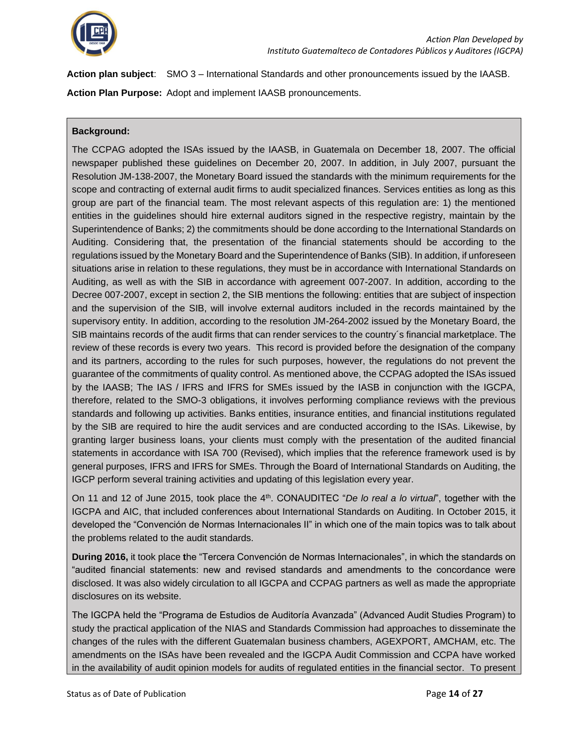

**Action plan subject**: SMO 3 – International Standards and other pronouncements issued by the IAASB.

**Action Plan Purpose:** Adopt and implement IAASB pronouncements.

#### **Background:**

The CCPAG adopted the ISAs issued by the IAASB, in Guatemala on December 18, 2007. The official newspaper published these guidelines on December 20, 2007. In addition, in July 2007, pursuant the Resolution JM-138-2007, the Monetary Board issued the standards with the minimum requirements for the scope and contracting of external audit firms to audit specialized finances. Services entities as long as this group are part of the financial team. The most relevant aspects of this regulation are: 1) the mentioned entities in the guidelines should hire external auditors signed in the respective registry, maintain by the Superintendence of Banks; 2) the commitments should be done according to the International Standards on Auditing. Considering that, the presentation of the financial statements should be according to the regulations issued by the Monetary Board and the Superintendence of Banks (SIB). In addition, if unforeseen situations arise in relation to these regulations, they must be in accordance with International Standards on Auditing, as well as with the SIB in accordance with agreement 007-2007. In addition, according to the Decree 007-2007, except in section 2, the SIB mentions the following: entities that are subject of inspection and the supervision of the SIB, will involve external auditors included in the records maintained by the supervisory entity. In addition, according to the resolution JM-264-2002 issued by the Monetary Board, the SIB maintains records of the audit firms that can render services to the country´s financial marketplace. The review of these records is every two years. This record is provided before the designation of the company and its partners, according to the rules for such purposes, however, the regulations do not prevent the guarantee of the commitments of quality control. As mentioned above, the CCPAG adopted the ISAs issued by the IAASB; The IAS / IFRS and IFRS for SMEs issued by the IASB in conjunction with the IGCPA, therefore, related to the SMO-3 obligations, it involves performing compliance reviews with the previous standards and following up activities. Banks entities, insurance entities, and financial institutions regulated by the SIB are required to hire the audit services and are conducted according to the ISAs. Likewise, by granting larger business loans, your clients must comply with the presentation of the audited financial statements in accordance with ISA 700 (Revised), which implies that the reference framework used is by general purposes, IFRS and IFRS for SMEs. Through the Board of International Standards on Auditing, the IGCP perform several training activities and updating of this legislation every year.

On 11 and 12 of June 2015, took place the 4th. CONAUDITEC "*De lo real a lo virtual*", together with the IGCPA and AIC, that included conferences about International Standards on Auditing. In October 2015, it developed the "Convención de Normas Internacionales II" in which one of the main topics was to talk about the problems related to the audit standards.

**During 2016,** it took place **t**he "Tercera Convención de Normas Internacionales", in which the standards on "audited financial statements: new and revised standards and amendments to the concordance were disclosed. It was also widely circulation to all IGCPA and CCPAG partners as well as made the appropriate disclosures on its website.

The IGCPA held the "Programa de Estudios de Auditoría Avanzada" (Advanced Audit Studies Program) to study the practical application of the NIAS and Standards Commission had approaches to disseminate the changes of the rules with the different Guatemalan business chambers, AGEXPORT, AMCHAM, etc. The amendments on the ISAs have been revealed and the IGCPA Audit Commission and CCPA have worked in the availability of audit opinion models for audits of regulated entities in the financial sector. To present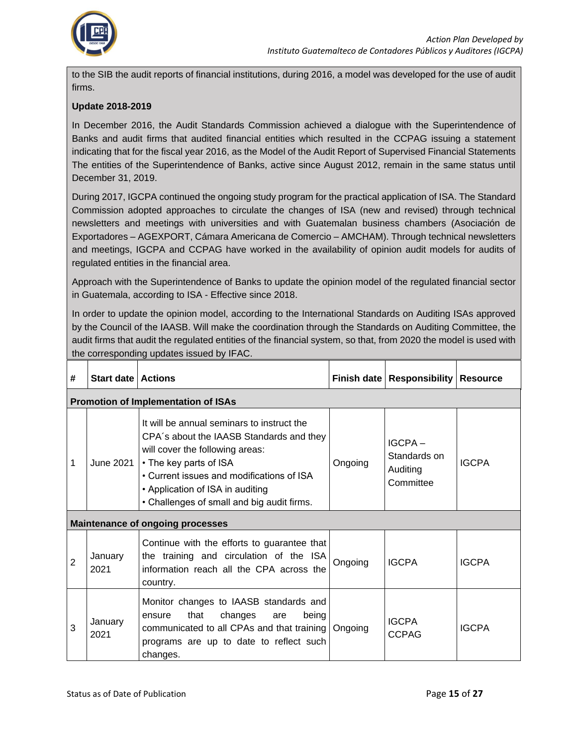

to the SIB the audit reports of financial institutions, during 2016, a model was developed for the use of audit firms.

#### **Update 2018-2019**

In December 2016, the Audit Standards Commission achieved a dialogue with the Superintendence of Banks and audit firms that audited financial entities which resulted in the CCPAG issuing a statement indicating that for the fiscal year 2016, as the Model of the Audit Report of Supervised Financial Statements The entities of the Superintendence of Banks, active since August 2012, remain in the same status until December 31, 2019.

During 2017, IGCPA continued the ongoing study program for the practical application of ISA. The Standard Commission adopted approaches to circulate the changes of ISA (new and revised) through technical newsletters and meetings with universities and with Guatemalan business chambers (Asociación de Exportadores – AGEXPORT, Cámara Americana de Comercio – AMCHAM). Through technical newsletters and meetings, IGCPA and CCPAG have worked in the availability of opinion audit models for audits of regulated entities in the financial area.

Approach with the Superintendence of Banks to update the opinion model of the regulated financial sector in Guatemala, according to ISA - Effective since 2018.

In order to update the opinion model, according to the International Standards on Auditing ISAs approved by the Council of the IAASB. Will make the coordination through the Standards on Auditing Committee, the audit firms that audit the regulated entities of the financial system, so that, from 2020 the model is used with the corresponding updates issued by IFAC.

| #              | <b>Start date   Actions</b> |                                                                                                                                                                                                                                                                                    |         | Finish date   Responsibility   Resource            |              |
|----------------|-----------------------------|------------------------------------------------------------------------------------------------------------------------------------------------------------------------------------------------------------------------------------------------------------------------------------|---------|----------------------------------------------------|--------------|
|                |                             | <b>Promotion of Implementation of ISAs</b>                                                                                                                                                                                                                                         |         |                                                    |              |
| 1              | June 2021                   | It will be annual seminars to instruct the<br>CPA's about the IAASB Standards and they<br>will cover the following areas:<br>• The key parts of ISA<br>• Current issues and modifications of ISA<br>• Application of ISA in auditing<br>• Challenges of small and big audit firms. | Ongoing | $IGCPA -$<br>Standards on<br>Auditing<br>Committee | <b>IGCPA</b> |
|                |                             | <b>Maintenance of ongoing processes</b>                                                                                                                                                                                                                                            |         |                                                    |              |
| $\overline{2}$ | January<br>2021             | Continue with the efforts to guarantee that<br>the training and circulation of the ISA<br>information reach all the CPA across the<br>country.                                                                                                                                     | Ongoing | <b>IGCPA</b>                                       | <b>IGCPA</b> |
| 3              | January<br>2021             | Monitor changes to IAASB standards and<br>that<br>changes<br>being<br>ensure<br>are<br>communicated to all CPAs and that training<br>programs are up to date to reflect such<br>changes.                                                                                           | Ongoing | <b>IGCPA</b><br><b>CCPAG</b>                       | <b>IGCPA</b> |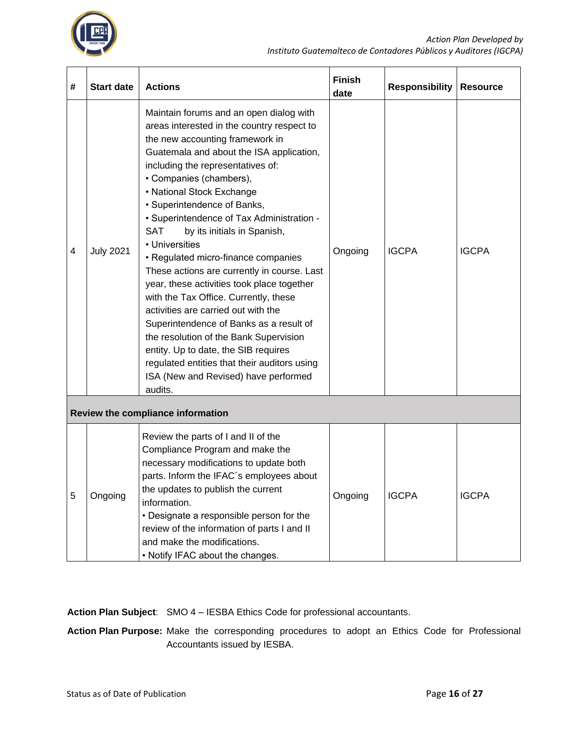

| # | <b>Start date</b>                                                                                                                                                                                                                                                                                                                                                                                                                                                                                                                                                                                                                                                                                                                                                                                                                                                                    | <b>Actions</b>                                                                                                                                                                                                                                                                                                                                                                   | <b>Finish</b><br>date | <b>Responsibility</b> | <b>Resource</b> |
|---|--------------------------------------------------------------------------------------------------------------------------------------------------------------------------------------------------------------------------------------------------------------------------------------------------------------------------------------------------------------------------------------------------------------------------------------------------------------------------------------------------------------------------------------------------------------------------------------------------------------------------------------------------------------------------------------------------------------------------------------------------------------------------------------------------------------------------------------------------------------------------------------|----------------------------------------------------------------------------------------------------------------------------------------------------------------------------------------------------------------------------------------------------------------------------------------------------------------------------------------------------------------------------------|-----------------------|-----------------------|-----------------|
| 4 | Maintain forums and an open dialog with<br>areas interested in the country respect to<br>the new accounting framework in<br>Guatemala and about the ISA application,<br>including the representatives of:<br>• Companies (chambers),<br>• National Stock Exchange<br>· Superintendence of Banks,<br>• Superintendence of Tax Administration -<br><b>SAT</b><br>by its initials in Spanish,<br>• Universities<br><b>July 2021</b><br>· Regulated micro-finance companies<br>These actions are currently in course. Last<br>year, these activities took place together<br>with the Tax Office. Currently, these<br>activities are carried out with the<br>Superintendence of Banks as a result of<br>the resolution of the Bank Supervision<br>entity. Up to date, the SIB requires<br>regulated entities that their auditors using<br>ISA (New and Revised) have performed<br>audits. |                                                                                                                                                                                                                                                                                                                                                                                  | Ongoing               | <b>IGCPA</b>          | <b>IGCPA</b>    |
|   |                                                                                                                                                                                                                                                                                                                                                                                                                                                                                                                                                                                                                                                                                                                                                                                                                                                                                      | Review the compliance information                                                                                                                                                                                                                                                                                                                                                |                       |                       |                 |
| 5 | Ongoing                                                                                                                                                                                                                                                                                                                                                                                                                                                                                                                                                                                                                                                                                                                                                                                                                                                                              | Review the parts of I and II of the<br>Compliance Program and make the<br>necessary modifications to update both<br>parts. Inform the IFAC's employees about<br>the updates to publish the current<br>information.<br>• Designate a responsible person for the<br>review of the information of parts I and II<br>and make the modifications.<br>• Notify IFAC about the changes. | Ongoing               | <b>IGCPA</b>          | <b>IGCPA</b>    |

**Action Plan Subject**: SMO 4 – IESBA Ethics Code for professional accountants.

**Action Plan Purpose:** Make the corresponding procedures to adopt an Ethics Code for Professional Accountants issued by IESBA.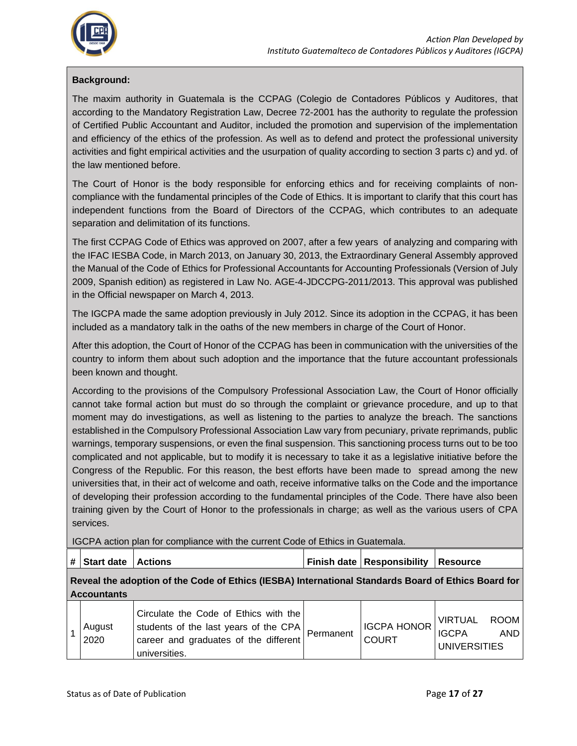

#### **Background:**

The maxim authority in Guatemala is the CCPAG (Colegio de Contadores Públicos y Auditores, that according to the Mandatory Registration Law, Decree 72-2001 has the authority to regulate the profession of Certified Public Accountant and Auditor, included the promotion and supervision of the implementation and efficiency of the ethics of the profession. As well as to defend and protect the professional university activities and fight empirical activities and the usurpation of quality according to section 3 parts c) and yd. of the law mentioned before.

The Court of Honor is the body responsible for enforcing ethics and for receiving complaints of noncompliance with the fundamental principles of the Code of Ethics. It is important to clarify that this court has independent functions from the Board of Directors of the CCPAG, which contributes to an adequate separation and delimitation of its functions.

The first CCPAG Code of Ethics was approved on 2007, after a few years of analyzing and comparing with the IFAC IESBA Code, in March 2013, on January 30, 2013, the Extraordinary General Assembly approved the Manual of the Code of Ethics for Professional Accountants for Accounting Professionals (Version of July 2009, Spanish edition) as registered in Law No. AGE-4-JDCCPG-2011/2013. This approval was published in the Official newspaper on March 4, 2013.

The IGCPA made the same adoption previously in July 2012. Since its adoption in the CCPAG, it has been included as a mandatory talk in the oaths of the new members in charge of the Court of Honor.

After this adoption, the Court of Honor of the CCPAG has been in communication with the universities of the country to inform them about such adoption and the importance that the future accountant professionals been known and thought.

According to the provisions of the Compulsory Professional Association Law, the Court of Honor officially cannot take formal action but must do so through the complaint or grievance procedure, and up to that moment may do investigations, as well as listening to the parties to analyze the breach. The sanctions established in the Compulsory Professional Association Law vary from pecuniary, private reprimands, public warnings, temporary suspensions, or even the final suspension. This sanctioning process turns out to be too complicated and not applicable, but to modify it is necessary to take it as a legislative initiative before the Congress of the Republic. For this reason, the best efforts have been made to spread among the new universities that, in their act of welcome and oath, receive informative talks on the Code and the importance of developing their profession according to the fundamental principles of the Code. There have also been training given by the Court of Honor to the professionals in charge; as well as the various users of CPA services.

IGCPA action plan for compliance with the current Code of Ethics in Guatemala.

| #   Start date   Actions | <b>Finish date   Responsibility   Resource</b> |  |  |
|--------------------------|------------------------------------------------|--|--|
|                          |                                                |  |  |

**Reveal the adoption of the Code of Ethics (IESBA) International Standards Board of Ethics Board for Accountants**

|  | August<br>2020 | Circulate the Code of Ethics with the<br>I students of the last years of the CPA $ $ Permanent $ $ <sup>II-7</sup><br>career and graduates of the different<br>universities. |  | IGCPA HONOR   "<br><b>COURT</b> | VIRTUAL<br><b>IGCPA</b><br>UNIVERSITIES | ROOM  <br>AND I |
|--|----------------|------------------------------------------------------------------------------------------------------------------------------------------------------------------------------|--|---------------------------------|-----------------------------------------|-----------------|
|--|----------------|------------------------------------------------------------------------------------------------------------------------------------------------------------------------------|--|---------------------------------|-----------------------------------------|-----------------|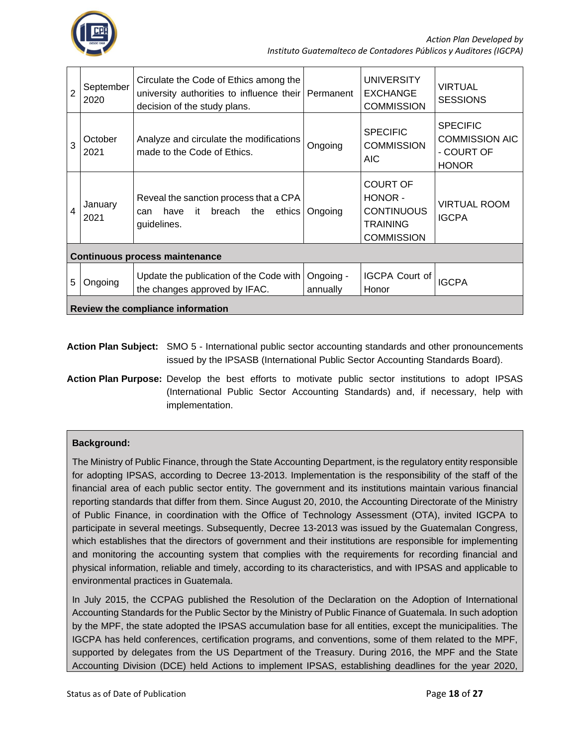

| $\overline{2}$ | September<br>2020                     | Circulate the Code of Ethics among the<br>university authorities to influence their Permanent<br>decision of the study plans. |                       | <b>UNIVERSITY</b><br><b>EXCHANGE</b><br><b>COMMISSION</b>                               | <b>VIRTUAL</b><br><b>SESSIONS</b>                                      |  |  |  |
|----------------|---------------------------------------|-------------------------------------------------------------------------------------------------------------------------------|-----------------------|-----------------------------------------------------------------------------------------|------------------------------------------------------------------------|--|--|--|
| 3              | October<br>2021                       | Analyze and circulate the modifications<br>made to the Code of Ethics.                                                        | Ongoing               | <b>SPECIFIC</b><br><b>COMMISSION</b><br><b>AIC</b>                                      | <b>SPECIFIC</b><br><b>COMMISSION AIC</b><br>- COURT OF<br><b>HONOR</b> |  |  |  |
| $\overline{4}$ | January<br>2021                       | Reveal the sanction process that a CPA<br>it<br>breach<br>have<br>the<br>ethics I<br>can<br>guidelines.                       | Ongoing               | <b>COURT OF</b><br>HONOR -<br><b>CONTINUOUS</b><br><b>TRAINING</b><br><b>COMMISSION</b> | <b>VIRTUAL ROOM</b><br><b>IGCPA</b>                                    |  |  |  |
|                | <b>Continuous process maintenance</b> |                                                                                                                               |                       |                                                                                         |                                                                        |  |  |  |
| 5              | Ongoing                               | Update the publication of the Code with<br>the changes approved by IFAC.                                                      | Ongoing -<br>annually | <b>IGCPA Court of</b><br>Honor                                                          | <b>IGCPA</b>                                                           |  |  |  |
|                | Review the compliance information     |                                                                                                                               |                       |                                                                                         |                                                                        |  |  |  |

- **Action Plan Subject:** SMO 5 International public sector accounting standards and other pronouncements issued by the IPSASB (International Public Sector Accounting Standards Board).
- **Action Plan Purpose:** Develop the best efforts to motivate public sector institutions to adopt IPSAS (International Public Sector Accounting Standards) and, if necessary, help with implementation.

#### **Background:**

The Ministry of Public Finance, through the State Accounting Department, is the regulatory entity responsible for adopting IPSAS, according to Decree 13-2013. Implementation is the responsibility of the staff of the financial area of each public sector entity. The government and its institutions maintain various financial reporting standards that differ from them. Since August 20, 2010, the Accounting Directorate of the Ministry of Public Finance, in coordination with the Office of Technology Assessment (OTA), invited IGCPA to participate in several meetings. Subsequently, Decree 13-2013 was issued by the Guatemalan Congress, which establishes that the directors of government and their institutions are responsible for implementing and monitoring the accounting system that complies with the requirements for recording financial and physical information, reliable and timely, according to its characteristics, and with IPSAS and applicable to environmental practices in Guatemala.

In July 2015, the CCPAG published the Resolution of the Declaration on the Adoption of International Accounting Standards for the Public Sector by the Ministry of Public Finance of Guatemala. In such adoption by the MPF, the state adopted the IPSAS accumulation base for all entities, except the municipalities. The IGCPA has held conferences, certification programs, and conventions, some of them related to the MPF, supported by delegates from the US Department of the Treasury. During 2016, the MPF and the State Accounting Division (DCE) held Actions to implement IPSAS, establishing deadlines for the year 2020,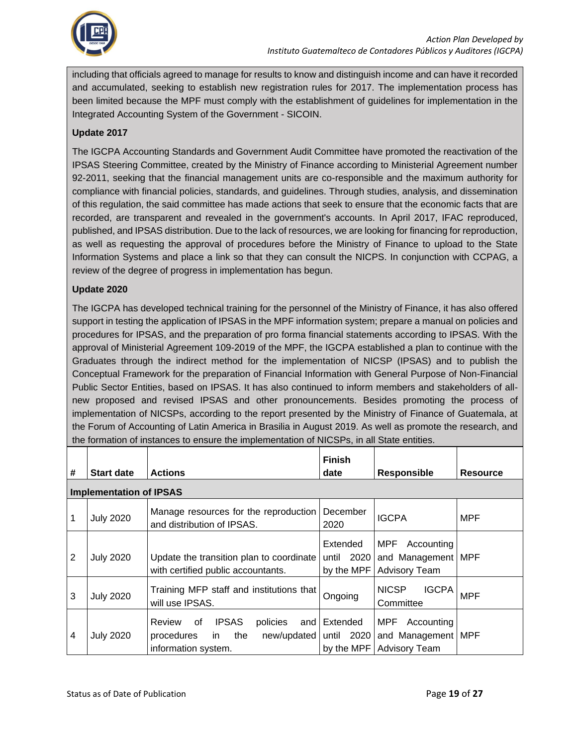

including that officials agreed to manage for results to know and distinguish income and can have it recorded and accumulated, seeking to establish new registration rules for 2017. The implementation process has been limited because the MPF must comply with the establishment of guidelines for implementation in the Integrated Accounting System of the Government - SICOIN.

#### **Update 2017**

The IGCPA Accounting Standards and Government Audit Committee have promoted the reactivation of the IPSAS Steering Committee, created by the Ministry of Finance according to Ministerial Agreement number 92-2011, seeking that the financial management units are co-responsible and the maximum authority for compliance with financial policies, standards, and guidelines. Through studies, analysis, and dissemination of this regulation, the said committee has made actions that seek to ensure that the economic facts that are recorded, are transparent and revealed in the government's accounts. In April 2017, IFAC reproduced, published, and IPSAS distribution. Due to the lack of resources, we are looking for financing for reproduction, as well as requesting the approval of procedures before the Ministry of Finance to upload to the State Information Systems and place a link so that they can consult the NICPS. In conjunction with CCPAG, a review of the degree of progress in implementation has begun.

#### **Update 2020**

The IGCPA has developed technical training for the personnel of the Ministry of Finance, it has also offered support in testing the application of IPSAS in the MPF information system; prepare a manual on policies and procedures for IPSAS, and the preparation of pro forma financial statements according to IPSAS. With the approval of Ministerial Agreement 109-2019 of the MPF, the IGCPA established a plan to continue with the Graduates through the indirect method for the implementation of NICSP (IPSAS) and to publish the Conceptual Framework for the preparation of Financial Information with General Purpose of Non-Financial Public Sector Entities, based on IPSAS. It has also continued to inform members and stakeholders of allnew proposed and revised IPSAS and other pronouncements. Besides promoting the process of implementation of NICSPs, according to the report presented by the Ministry of Finance of Guatemala, at the Forum of Accounting of Latin America in Brasilia in August 2019. As well as promote the research, and the formation of instances to ensure the implementation of NICSPs, in all State entities.

| #              | <b>Start date</b>              | <b>Actions</b>                                                                                     | <b>Finish</b><br>date                   | <b>Responsible</b>                                                                                 | <b>Resource</b> |
|----------------|--------------------------------|----------------------------------------------------------------------------------------------------|-----------------------------------------|----------------------------------------------------------------------------------------------------|-----------------|
|                | <b>Implementation of IPSAS</b> |                                                                                                    |                                         |                                                                                                    |                 |
| 1              | <b>July 2020</b>               | Manage resources for the reproduction<br>and distribution of IPSAS.                                | December<br>2020                        | <b>IGCPA</b>                                                                                       | <b>MPF</b>      |
| $\overline{2}$ | <b>July 2020</b>               | Update the transition plan to coordinate<br>with certified public accountants.                     | Extended<br>2020<br>until<br>by the MPF | MPF<br>Accounting<br>and Management   MPF<br><b>Advisory Team</b>                                  |                 |
| 3              | <b>July 2020</b>               | Training MFP staff and institutions that<br>will use IPSAS.                                        | Ongoing                                 | <b>NICSP</b><br><b>IGCPA</b><br>Committee                                                          | <b>MPF</b>      |
| 4              | <b>July 2020</b>               | <b>IPSAS</b><br>Review<br>0f<br>policies<br>and<br>the<br>procedures<br>in.<br>information system. | Extended                                | MPF<br>Accounting<br>new/updated   until 2020   and Management   MPF<br>by the MPF   Advisory Team |                 |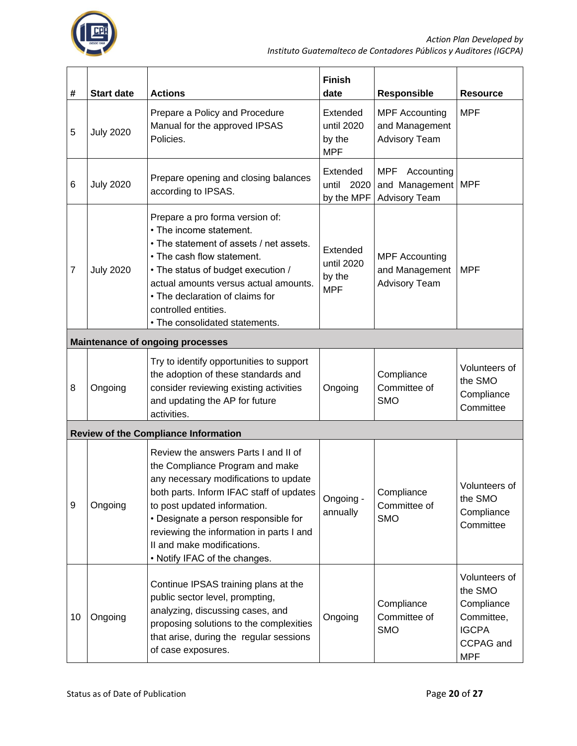

| #              | <b>Start date</b> | <b>Actions</b>                                                                                                                                                                                                                                                                                                                                  | <b>Finish</b><br>date                          | <b>Responsible</b>                                                       | <b>Resource</b>                                                                                 |
|----------------|-------------------|-------------------------------------------------------------------------------------------------------------------------------------------------------------------------------------------------------------------------------------------------------------------------------------------------------------------------------------------------|------------------------------------------------|--------------------------------------------------------------------------|-------------------------------------------------------------------------------------------------|
| 5              | <b>July 2020</b>  | Prepare a Policy and Procedure<br>Manual for the approved IPSAS<br>Policies.                                                                                                                                                                                                                                                                    | Extended<br>until 2020<br>by the<br><b>MPF</b> | <b>MPF Accounting</b><br>and Management<br><b>Advisory Team</b>          | <b>MPF</b>                                                                                      |
| 6              | <b>July 2020</b>  | Prepare opening and closing balances<br>according to IPSAS.                                                                                                                                                                                                                                                                                     | Extended<br>2020<br>until<br>by the MPF        | <b>MPF</b><br>Accounting<br>and Management   MPF<br><b>Advisory Team</b> |                                                                                                 |
| $\overline{7}$ | <b>July 2020</b>  | Prepare a pro forma version of:<br>• The income statement.<br>• The statement of assets / net assets.<br>• The cash flow statement.<br>• The status of budget execution /<br>actual amounts versus actual amounts.<br>• The declaration of claims for<br>controlled entities.<br>• The consolidated statements.                                 | Extended<br>until 2020<br>by the<br><b>MPF</b> | <b>MPF Accounting</b><br>and Management<br><b>Advisory Team</b>          | <b>MPF</b>                                                                                      |
|                |                   | <b>Maintenance of ongoing processes</b>                                                                                                                                                                                                                                                                                                         |                                                |                                                                          |                                                                                                 |
| 8              | Ongoing           | Try to identify opportunities to support<br>the adoption of these standards and<br>consider reviewing existing activities<br>and updating the AP for future<br>activities.                                                                                                                                                                      | Ongoing                                        | Compliance<br>Committee of<br><b>SMO</b>                                 | Volunteers of<br>the SMO<br>Compliance<br>Committee                                             |
|                |                   | <b>Review of the Compliance Information</b>                                                                                                                                                                                                                                                                                                     |                                                |                                                                          |                                                                                                 |
| 9              | Ongoing           | Review the answers Parts I and II of<br>the Compliance Program and make<br>any necessary modifications to update<br>both parts. Inform IFAC staff of updates<br>to post updated information.<br>• Designate a person responsible for<br>reviewing the information in parts I and<br>II and make modifications.<br>• Notify IFAC of the changes. | Ongoing -<br>annually                          | Compliance<br>Committee of<br><b>SMO</b>                                 | Volunteers of<br>the SMO<br>Compliance<br>Committee                                             |
| 10             | Ongoing           | Continue IPSAS training plans at the<br>public sector level, prompting,<br>analyzing, discussing cases, and<br>proposing solutions to the complexities<br>that arise, during the regular sessions<br>of case exposures.                                                                                                                         | Ongoing                                        | Compliance<br>Committee of<br><b>SMO</b>                                 | Volunteers of<br>the SMO<br>Compliance<br>Committee,<br><b>IGCPA</b><br>CCPAG and<br><b>MPF</b> |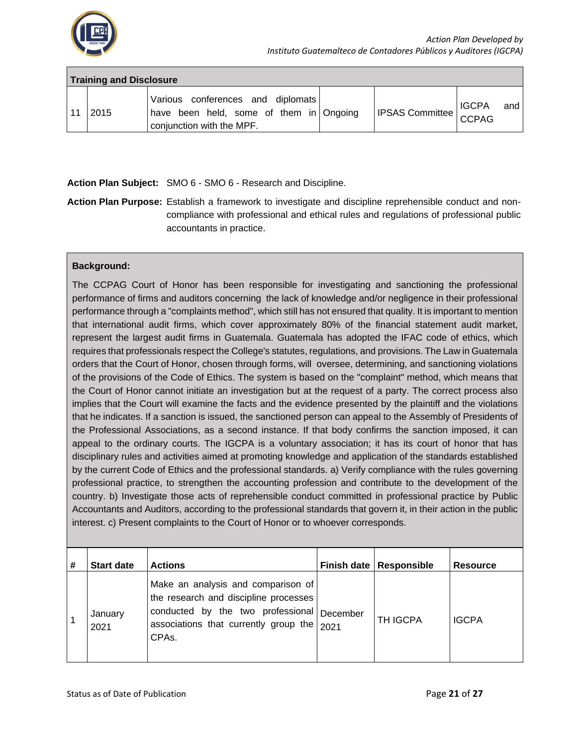

|  | <b>Training and Disclosure</b> |                                                                                                           |                         |     |
|--|--------------------------------|-----------------------------------------------------------------------------------------------------------|-------------------------|-----|
|  | 2015                           | Various conferences and diplomats<br>have been held, some of them in Ongoing<br>conjunction with the MPF. | IPSAS Committee   IGCPA | and |

**Action Plan Subject:** SMO 6 - SMO 6 - Research and Discipline.

**Action Plan Purpose:** Establish a framework to investigate and discipline reprehensible conduct and noncompliance with professional and ethical rules and regulations of professional public accountants in practice.

#### **Background:**

The CCPAG Court of Honor has been responsible for investigating and sanctioning the professional performance of firms and auditors concerning the lack of knowledge and/or negligence in their professional performance through a "complaints method", which still has not ensured that quality. It is important to mention that international audit firms, which cover approximately 80% of the financial statement audit market, represent the largest audit firms in Guatemala. Guatemala has adopted the IFAC code of ethics, which requires that professionals respect the College's statutes, regulations, and provisions. The Law in Guatemala orders that the Court of Honor, chosen through forms, will oversee, determining, and sanctioning violations of the provisions of the Code of Ethics. The system is based on the "complaint" method, which means that the Court of Honor cannot initiate an investigation but at the request of a party. The correct process also implies that the Court will examine the facts and the evidence presented by the plaintiff and the violations that he indicates. If a sanction is issued, the sanctioned person can appeal to the Assembly of Presidents of the Professional Associations, as a second instance. If that body confirms the sanction imposed, it can appeal to the ordinary courts. The IGCPA is a voluntary association; it has its court of honor that has disciplinary rules and activities aimed at promoting knowledge and application of the standards established by the current Code of Ethics and the professional standards. a) Verify compliance with the rules governing professional practice, to strengthen the accounting profession and contribute to the development of the country. b) Investigate those acts of reprehensible conduct committed in professional practice by Public Accountants and Auditors, according to the professional standards that govern it, in their action in the public interest. c) Present complaints to the Court of Honor or to whoever corresponds.

| # | <b>Start date</b> | <b>Actions</b>                                                                                                                                                                                  | Finish date   Responsible | <b>Resource</b> |
|---|-------------------|-------------------------------------------------------------------------------------------------------------------------------------------------------------------------------------------------|---------------------------|-----------------|
|   | January<br>2021   | Make an analysis and comparison of<br>the research and discipline processes<br>conducted by the two professional December<br>associations that currently group the   2021<br>CPA <sub>s</sub> . | <b>TH IGCPA</b>           | <b>IGCPA</b>    |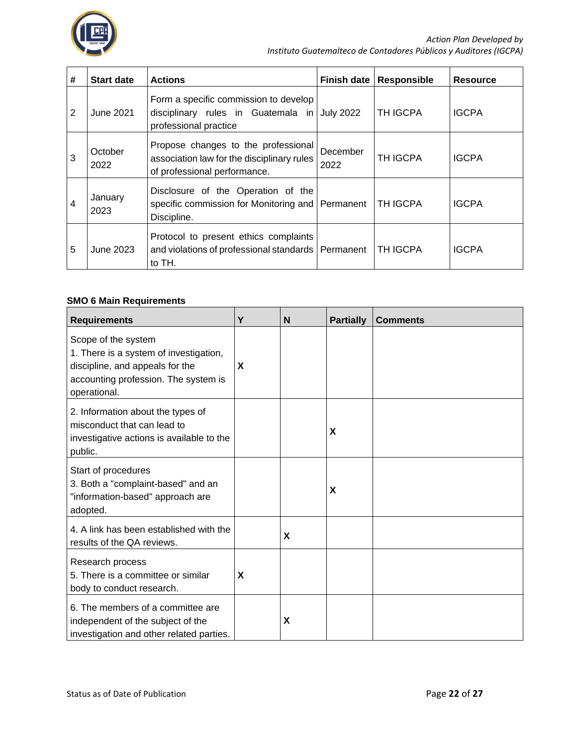

| # | <b>Start date</b> | <b>Actions</b>                                                                                                    | <b>Finish date</b> | <b>Responsible</b> | <b>Resource</b> |
|---|-------------------|-------------------------------------------------------------------------------------------------------------------|--------------------|--------------------|-----------------|
| 2 | June 2021         | Form a specific commission to develop<br>disciplinary rules in Guatemala in<br>professional practice              | <b>July 2022</b>   | TH IGCPA           | <b>IGCPA</b>    |
| 3 | October<br>2022   | Propose changes to the professional<br>association law for the disciplinary rules<br>of professional performance. | December<br>2022   | <b>TH IGCPA</b>    | <b>IGCPA</b>    |
| 4 | January<br>2023   | Disclosure of the Operation of the<br>specific commission for Monitoring and Permanent<br>Discipline.             |                    | <b>TH IGCPA</b>    | <b>IGCPA</b>    |
| 5 | June 2023         | Protocol to present ethics complaints<br>and violations of professional standards   Permanent<br>to TH.           |                    | <b>TH IGCPA</b>    | <b>IGCPA</b>    |

#### **SMO 6 Main Requirements**

| <b>Requirements</b>                                                                                                                                      | Y | N | <b>Partially</b> | <b>Comments</b> |
|----------------------------------------------------------------------------------------------------------------------------------------------------------|---|---|------------------|-----------------|
| Scope of the system<br>1. There is a system of investigation,<br>discipline, and appeals for the<br>accounting profession. The system is<br>operational. | X |   |                  |                 |
| 2. Information about the types of<br>misconduct that can lead to<br>investigative actions is available to the<br>public.                                 |   |   | X                |                 |
| Start of procedures<br>3. Both a "complaint-based" and an<br>"information-based" approach are<br>adopted.                                                |   |   | X                |                 |
| 4. A link has been established with the<br>results of the QA reviews.                                                                                    |   | X |                  |                 |
| Research process<br>5. There is a committee or similar<br>body to conduct research.                                                                      | X |   |                  |                 |
| 6. The members of a committee are<br>independent of the subject of the<br>investigation and other related parties.                                       |   | X |                  |                 |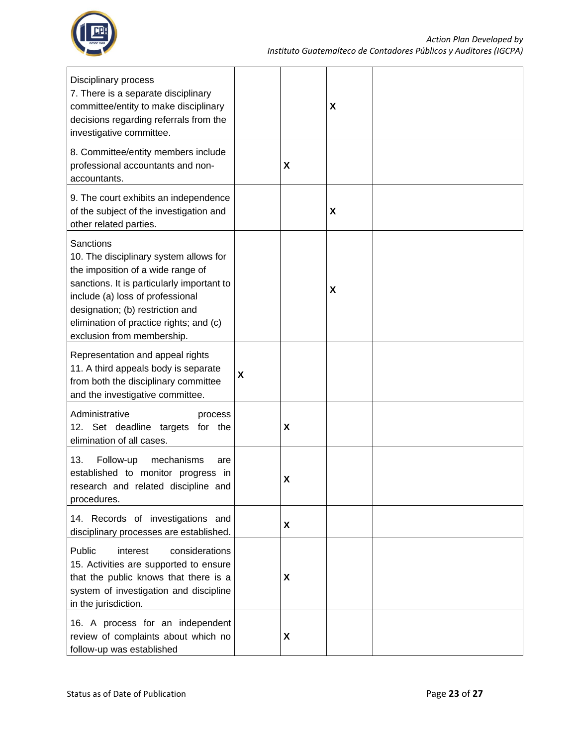

| Disciplinary process<br>7. There is a separate disciplinary<br>committee/entity to make disciplinary<br>decisions regarding referrals from the<br>investigative committee.                                                                                                                     |                           |                    | X |  |
|------------------------------------------------------------------------------------------------------------------------------------------------------------------------------------------------------------------------------------------------------------------------------------------------|---------------------------|--------------------|---|--|
| 8. Committee/entity members include<br>professional accountants and non-<br>accountants.                                                                                                                                                                                                       |                           | $\pmb{\mathsf{X}}$ |   |  |
| 9. The court exhibits an independence<br>of the subject of the investigation and<br>other related parties.                                                                                                                                                                                     |                           |                    | X |  |
| <b>Sanctions</b><br>10. The disciplinary system allows for<br>the imposition of a wide range of<br>sanctions. It is particularly important to<br>include (a) loss of professional<br>designation; (b) restriction and<br>elimination of practice rights; and (c)<br>exclusion from membership. |                           |                    | X |  |
| Representation and appeal rights<br>11. A third appeals body is separate<br>from both the disciplinary committee<br>and the investigative committee.                                                                                                                                           | $\boldsymbol{\mathsf{X}}$ |                    |   |  |
| Administrative<br>process<br>12. Set deadline targets for the<br>elimination of all cases.                                                                                                                                                                                                     |                           | X                  |   |  |
| 13.<br>Follow-up<br>mechanisms<br>are<br>established to monitor progress in<br>research and related discipline and<br>procedures.                                                                                                                                                              |                           | X                  |   |  |
| 14. Records of investigations and<br>disciplinary processes are established.                                                                                                                                                                                                                   |                           | X                  |   |  |
| Public<br>interest<br>considerations<br>15. Activities are supported to ensure<br>that the public knows that there is a<br>system of investigation and discipline<br>in the jurisdiction.                                                                                                      |                           | X                  |   |  |
| 16. A process for an independent<br>review of complaints about which no<br>follow-up was established                                                                                                                                                                                           |                           | X                  |   |  |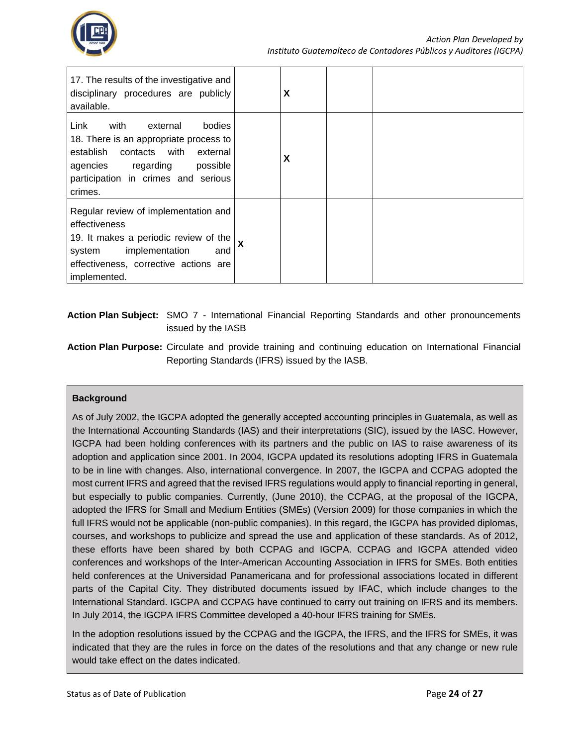

| 17. The results of the investigative and<br>disciplinary procedures are publicly<br>available.                                                                                                             |   | X |  |
|------------------------------------------------------------------------------------------------------------------------------------------------------------------------------------------------------------|---|---|--|
| Link<br>bodies<br>with<br>external<br>18. There is an appropriate process to<br>establish<br>contacts with<br>external<br>agencies regarding<br>possible<br>participation in crimes and serious<br>crimes. |   | X |  |
| Regular review of implementation and<br>effectiveness<br>19. It makes a periodic review of the<br>implementation<br>system<br>and<br>effectiveness, corrective actions are<br>implemented.                 | X |   |  |

#### **Action Plan Subject:** SMO 7 - International Financial Reporting Standards and other pronouncements issued by the IASB

**Action Plan Purpose:** Circulate and provide training and continuing education on International Financial Reporting Standards (IFRS) issued by the IASB.

#### **Background**

As of July 2002, the IGCPA adopted the generally accepted accounting principles in Guatemala, as well as the International Accounting Standards (IAS) and their interpretations (SIC), issued by the IASC. However, IGCPA had been holding conferences with its partners and the public on IAS to raise awareness of its adoption and application since 2001. In 2004, IGCPA updated its resolutions adopting IFRS in Guatemala to be in line with changes. Also, international convergence. In 2007, the IGCPA and CCPAG adopted the most current IFRS and agreed that the revised IFRS regulations would apply to financial reporting in general, but especially to public companies. Currently, (June 2010), the CCPAG, at the proposal of the IGCPA, adopted the IFRS for Small and Medium Entities (SMEs) (Version 2009) for those companies in which the full IFRS would not be applicable (non-public companies). In this regard, the IGCPA has provided diplomas, courses, and workshops to publicize and spread the use and application of these standards. As of 2012, these efforts have been shared by both CCPAG and IGCPA. CCPAG and IGCPA attended video conferences and workshops of the Inter-American Accounting Association in IFRS for SMEs. Both entities held conferences at the Universidad Panamericana and for professional associations located in different parts of the Capital City. They distributed documents issued by IFAC, which include changes to the International Standard. IGCPA and CCPAG have continued to carry out training on IFRS and its members. In July 2014, the IGCPA IFRS Committee developed a 40-hour IFRS training for SMEs.

In the adoption resolutions issued by the CCPAG and the IGCPA, the IFRS, and the IFRS for SMEs, it was indicated that they are the rules in force on the dates of the resolutions and that any change or new rule would take effect on the dates indicated.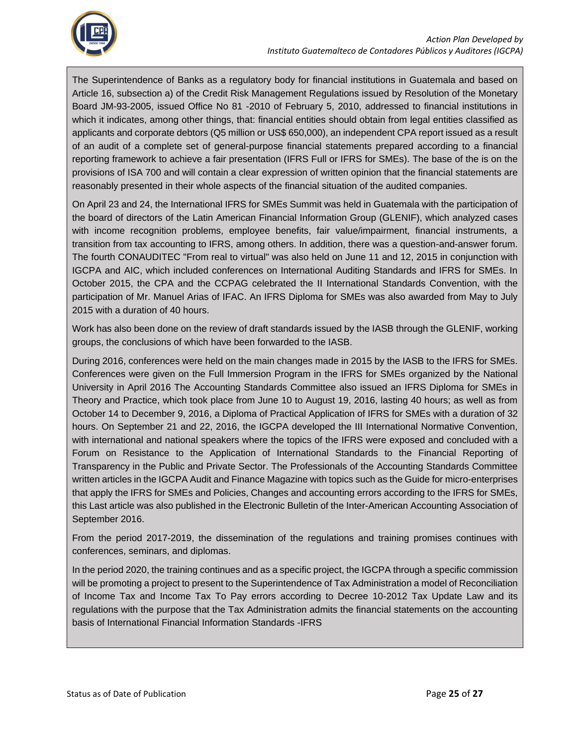

The Superintendence of Banks as a regulatory body for financial institutions in Guatemala and based on Article 16, subsection a) of the Credit Risk Management Regulations issued by Resolution of the Monetary Board JM-93-2005, issued Office No 81 -2010 of February 5, 2010, addressed to financial institutions in which it indicates, among other things, that: financial entities should obtain from legal entities classified as applicants and corporate debtors (Q5 million or US\$ 650,000), an independent CPA report issued as a result of an audit of a complete set of general-purpose financial statements prepared according to a financial reporting framework to achieve a fair presentation (IFRS Full or IFRS for SMEs). The base of the is on the provisions of ISA 700 and will contain a clear expression of written opinion that the financial statements are reasonably presented in their whole aspects of the financial situation of the audited companies.

On April 23 and 24, the International IFRS for SMEs Summit was held in Guatemala with the participation of the board of directors of the Latin American Financial Information Group (GLENIF), which analyzed cases with income recognition problems, employee benefits, fair value/impairment, financial instruments, a transition from tax accounting to IFRS, among others. In addition, there was a question-and-answer forum. The fourth CONAUDITEC "From real to virtual" was also held on June 11 and 12, 2015 in conjunction with IGCPA and AIC, which included conferences on International Auditing Standards and IFRS for SMEs. In October 2015, the CPA and the CCPAG celebrated the II International Standards Convention, with the participation of Mr. Manuel Arias of IFAC. An IFRS Diploma for SMEs was also awarded from May to July 2015 with a duration of 40 hours.

Work has also been done on the review of draft standards issued by the IASB through the GLENIF, working groups, the conclusions of which have been forwarded to the IASB.

During 2016, conferences were held on the main changes made in 2015 by the IASB to the IFRS for SMEs. Conferences were given on the Full Immersion Program in the IFRS for SMEs organized by the National University in April 2016 The Accounting Standards Committee also issued an IFRS Diploma for SMEs in Theory and Practice, which took place from June 10 to August 19, 2016, lasting 40 hours; as well as from October 14 to December 9, 2016, a Diploma of Practical Application of IFRS for SMEs with a duration of 32 hours. On September 21 and 22, 2016, the IGCPA developed the III International Normative Convention, with international and national speakers where the topics of the IFRS were exposed and concluded with a Forum on Resistance to the Application of International Standards to the Financial Reporting of Transparency in the Public and Private Sector. The Professionals of the Accounting Standards Committee written articles in the IGCPA Audit and Finance Magazine with topics such as the Guide for micro-enterprises that apply the IFRS for SMEs and Policies, Changes and accounting errors according to the IFRS for SMEs, this Last article was also published in the Electronic Bulletin of the Inter-American Accounting Association of September 2016.

From the period 2017-2019, the dissemination of the regulations and training promises continues with conferences, seminars, and diplomas.

In the period 2020, the training continues and as a specific project, the IGCPA through a specific commission will be promoting a project to present to the Superintendence of Tax Administration a model of Reconciliation of Income Tax and Income Tax To Pay errors according to Decree 10-2012 Tax Update Law and its regulations with the purpose that the Tax Administration admits the financial statements on the accounting basis of International Financial Information Standards -IFRS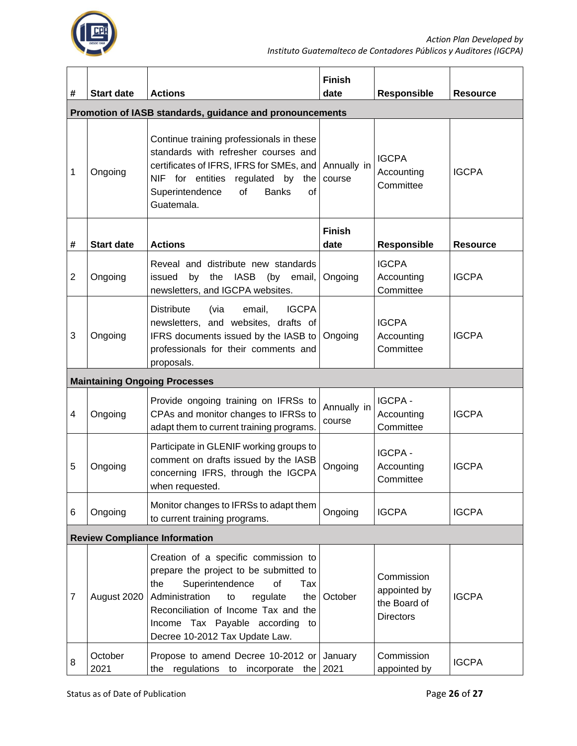

| #                                                        | <b>Start date</b> | <b>Actions</b>                                                                                                                                                                                                                                                                   | <b>Finish</b><br>date | <b>Responsible</b>                                             | <b>Resource</b> |  |  |
|----------------------------------------------------------|-------------------|----------------------------------------------------------------------------------------------------------------------------------------------------------------------------------------------------------------------------------------------------------------------------------|-----------------------|----------------------------------------------------------------|-----------------|--|--|
| Promotion of IASB standards, guidance and pronouncements |                   |                                                                                                                                                                                                                                                                                  |                       |                                                                |                 |  |  |
| 1                                                        | Ongoing           | Continue training professionals in these<br>standards with refresher courses and<br>certificates of IFRS, IFRS for SMEs, and<br>NIF for entities regulated by the<br>Superintendence<br>of<br><b>Banks</b><br>οf<br>Guatemala.                                                   | Annually in<br>course | <b>IGCPA</b><br>Accounting<br>Committee                        | <b>IGCPA</b>    |  |  |
| #                                                        | <b>Start date</b> | <b>Actions</b>                                                                                                                                                                                                                                                                   | <b>Finish</b><br>date | <b>Responsible</b>                                             | <b>Resource</b> |  |  |
| $\overline{2}$                                           | Ongoing           | Reveal and distribute new standards<br>issued<br>by<br>the IASB<br>(by<br>email,<br>newsletters, and IGCPA websites.                                                                                                                                                             | Ongoing               | <b>IGCPA</b><br>Accounting<br>Committee                        | <b>IGCPA</b>    |  |  |
| 3                                                        | Ongoing           | <b>Distribute</b><br>(via<br><b>IGCPA</b><br>email,<br>newsletters, and websites, drafts of<br>IFRS documents issued by the IASB to<br>professionals for their comments and<br>proposals.                                                                                        | Ongoing               | <b>IGCPA</b><br>Accounting<br>Committee                        | <b>IGCPA</b>    |  |  |
| <b>Maintaining Ongoing Processes</b>                     |                   |                                                                                                                                                                                                                                                                                  |                       |                                                                |                 |  |  |
| 4                                                        | Ongoing           | Provide ongoing training on IFRSs to<br>CPAs and monitor changes to IFRSs to<br>adapt them to current training programs.                                                                                                                                                         | Annually in<br>course | <b>IGCPA-</b><br>Accounting<br>Committee                       | <b>IGCPA</b>    |  |  |
| 5                                                        | Ongoing           | Participate in GLENIF working groups to<br>comment on drafts issued by the IASB<br>concerning IFRS, through the IGCPA<br>when requested.                                                                                                                                         | Ongoing               | <b>IGCPA-</b><br>Accounting<br>Committee                       | <b>IGCPA</b>    |  |  |
| 6                                                        | Ongoing           | Monitor changes to IFRSs to adapt them<br>to current training programs.                                                                                                                                                                                                          | Ongoing               | <b>IGCPA</b>                                                   | <b>IGCPA</b>    |  |  |
| <b>Review Compliance Information</b>                     |                   |                                                                                                                                                                                                                                                                                  |                       |                                                                |                 |  |  |
| $\overline{7}$                                           | August 2020       | Creation of a specific commission to<br>prepare the project to be submitted to<br>Superintendence<br>of<br>the<br>Tax<br>Administration<br>regulate<br>the<br>to<br>Reconciliation of Income Tax and the<br>Income Tax Payable according<br>to<br>Decree 10-2012 Tax Update Law. | October               | Commission<br>appointed by<br>the Board of<br><b>Directors</b> | <b>IGCPA</b>    |  |  |
| 8                                                        | October<br>2021   | Propose to amend Decree 10-2012 or January<br>the regulations to incorporate the $2021$                                                                                                                                                                                          |                       | Commission<br>appointed by                                     | <b>IGCPA</b>    |  |  |